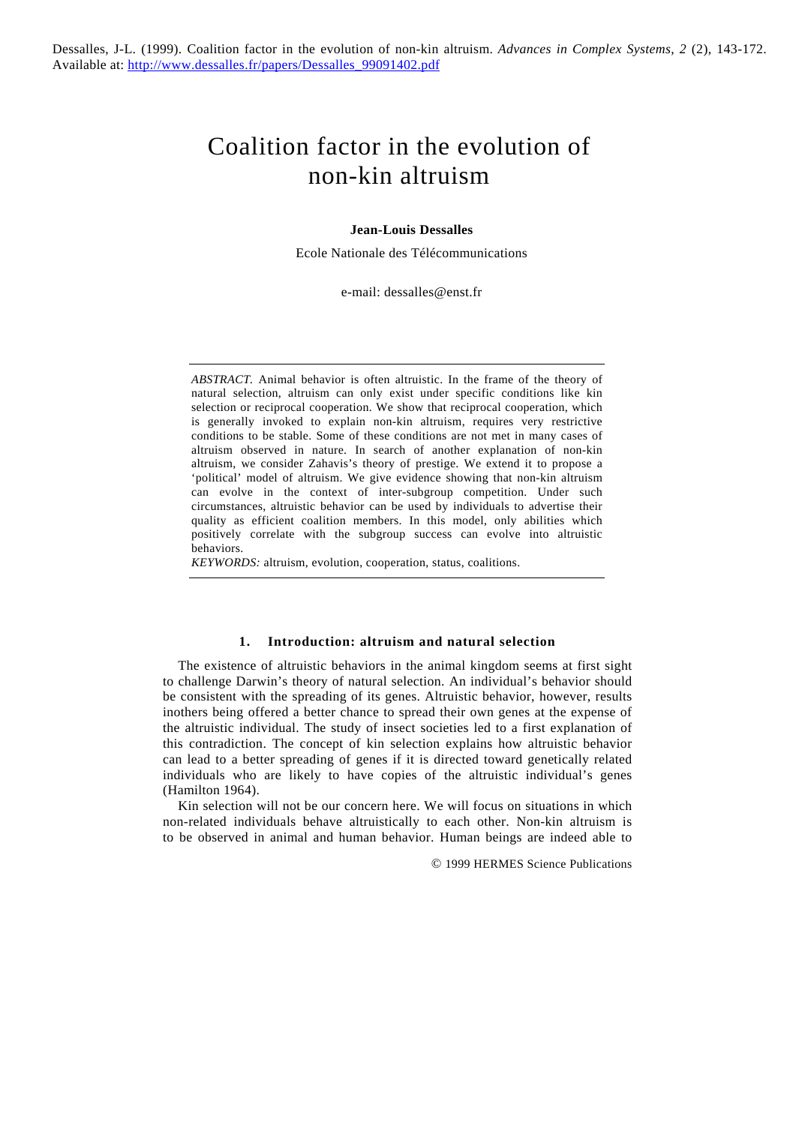# Coalition factor in the evolution of non-kin altruism

## **Jean-Louis Dessalles**

Ecole Nationale des Télécommunications

e-mail: dessalles@enst.fr

*ABSTRACT.* Animal behavior is often altruistic. In the frame of the theory of natural selection, altruism can only exist under specific conditions like kin selection or reciprocal cooperation. We show that reciprocal cooperation, which is generally invoked to explain non-kin altruism, requires very restrictive conditions to be stable. Some of these conditions are not met in many cases of altruism observed in nature. In search of another explanation of non-kin altruism, we consider Zahavis's theory of prestige. We extend it to propose a 'political' model of altruism. We give evidence showing that non-kin altruism can evolve in the context of inter-subgroup competition. Under such circumstances, altruistic behavior can be used by individuals to advertise their quality as efficient coalition members. In this model, only abilities which positively correlate with the subgroup success can evolve into altruistic behaviors.

*KEYWORDS:* altruism, evolution, cooperation, status, coalitions.

# **1. Introduction: altruism and natural selection**

The existence of altruistic behaviors in the animal kingdom seems at first sight to challenge Darwin's theory of natural selection. An individual's behavior should be consistent with the spreading of its genes. Altruistic behavior, however, results inothers being offered a better chance to spread their own genes at the expense of the altruistic individual. The study of insect societies led to a first explanation of this contradiction. The concept of kin selection explains how altruistic behavior can lead to a better spreading of genes if it is directed toward genetically related individuals who are likely to have copies of the altruistic individual's genes (Hamilton 1964).

Kin selection will not be our concern here. We will focus on situations in which non-related individuals behave altruistically to each other. Non-kin altruism is to be observed in animal and human behavior. Human beings are indeed able to

© 1999 HERMES Science Publications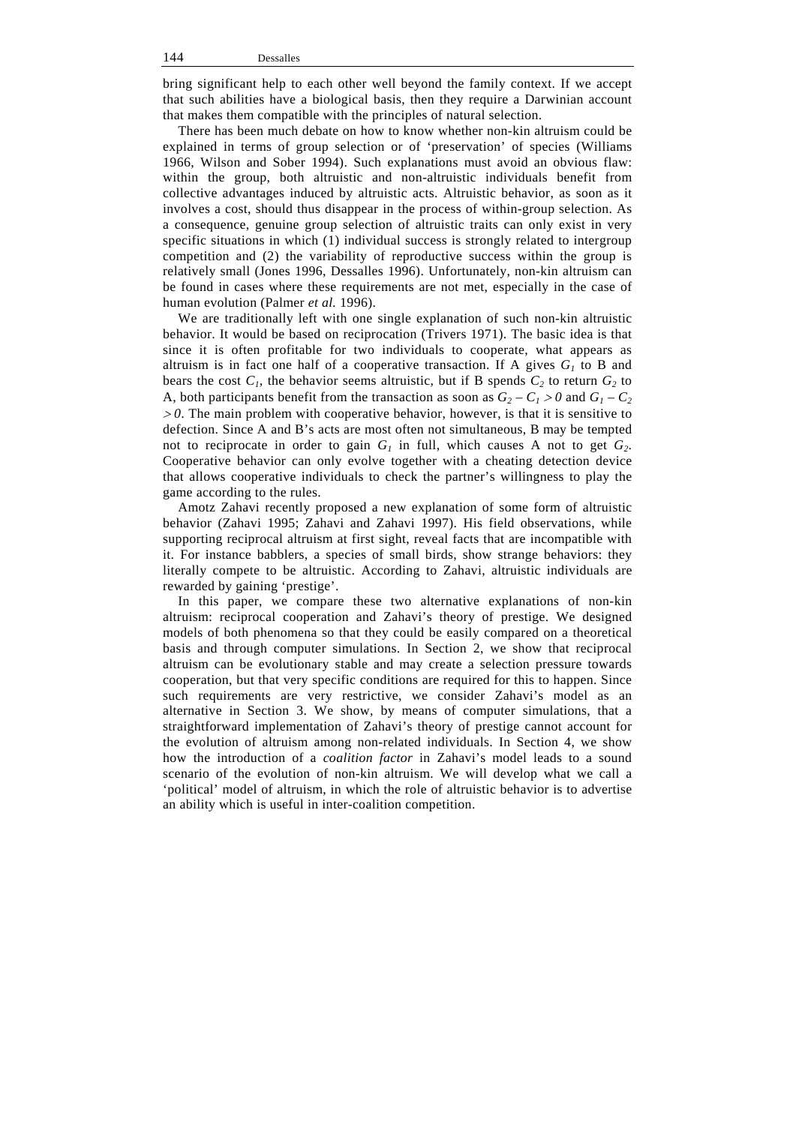bring significant help to each other well beyond the family context. If we accept that such abilities have a biological basis, then they require a Darwinian account that makes them compatible with the principles of natural selection.

There has been much debate on how to know whether non-kin altruism could be explained in terms of group selection or of 'preservation' of species (Williams 1966, Wilson and Sober 1994). Such explanations must avoid an obvious flaw: within the group, both altruistic and non-altruistic individuals benefit from collective advantages induced by altruistic acts. Altruistic behavior, as soon as it involves a cost, should thus disappear in the process of within-group selection. As a consequence, genuine group selection of altruistic traits can only exist in very specific situations in which (1) individual success is strongly related to intergroup competition and (2) the variability of reproductive success within the group is relatively small (Jones 1996, Dessalles 1996). Unfortunately, non-kin altruism can be found in cases where these requirements are not met, especially in the case of human evolution (Palmer *et al.* 1996).

We are traditionally left with one single explanation of such non-kin altruistic behavior. It would be based on reciprocation (Trivers 1971). The basic idea is that since it is often profitable for two individuals to cooperate, what appears as altruism is in fact one half of a cooperative transaction. If A gives  $G_I$  to B and bears the cost  $C_1$ , the behavior seems altruistic, but if B spends  $C_2$  to return  $G_2$  to A, both participants benefit from the transaction as soon as  $G_2 - C_1 > 0$  and  $G_1 - C_2$  $> 0$ . The main problem with cooperative behavior, however, is that it is sensitive to defection. Since A and B's acts are most often not simultaneous, B may be tempted not to reciprocate in order to gain  $G_1$  in full, which causes A not to get  $G_2$ . Cooperative behavior can only evolve together with a cheating detection device that allows cooperative individuals to check the partner's willingness to play the game according to the rules.

Amotz Zahavi recently proposed a new explanation of some form of altruistic behavior (Zahavi 1995; Zahavi and Zahavi 1997). His field observations, while supporting reciprocal altruism at first sight, reveal facts that are incompatible with it. For instance babblers, a species of small birds, show strange behaviors: they literally compete to be altruistic. According to Zahavi, altruistic individuals are rewarded by gaining 'prestige'.

In this paper, we compare these two alternative explanations of non-kin altruism: reciprocal cooperation and Zahavi's theory of prestige. We designed models of both phenomena so that they could be easily compared on a theoretical basis and through computer simulations. In Section 2, we show that reciprocal altruism can be evolutionary stable and may create a selection pressure towards cooperation, but that very specific conditions are required for this to happen. Since such requirements are very restrictive, we consider Zahavi's model as an alternative in Section 3. We show, by means of computer simulations, that a straightforward implementation of Zahavi's theory of prestige cannot account for the evolution of altruism among non-related individuals. In Section 4, we show how the introduction of a *coalition factor* in Zahavi's model leads to a sound scenario of the evolution of non-kin altruism. We will develop what we call a 'political' model of altruism, in which the role of altruistic behavior is to advertise an ability which is useful in inter-coalition competition.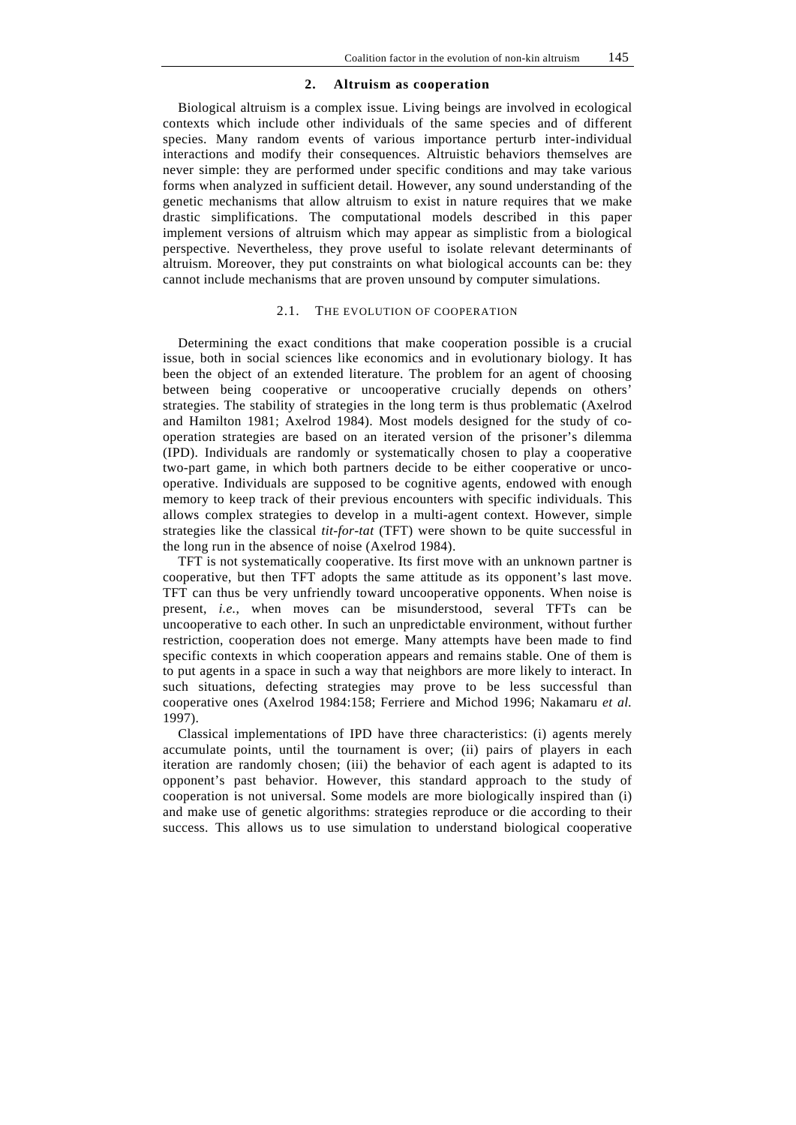# **2. Altruism as cooperation**

Biological altruism is a complex issue. Living beings are involved in ecological contexts which include other individuals of the same species and of different species. Many random events of various importance perturb inter-individual interactions and modify their consequences. Altruistic behaviors themselves are never simple: they are performed under specific conditions and may take various forms when analyzed in sufficient detail. However, any sound understanding of the genetic mechanisms that allow altruism to exist in nature requires that we make drastic simplifications. The computational models described in this paper implement versions of altruism which may appear as simplistic from a biological perspective. Nevertheless, they prove useful to isolate relevant determinants of altruism. Moreover, they put constraints on what biological accounts can be: they cannot include mechanisms that are proven unsound by computer simulations.

## 2.1. THE EVOLUTION OF COOPERATION

Determining the exact conditions that make cooperation possible is a crucial issue, both in social sciences like economics and in evolutionary biology. It has been the object of an extended literature. The problem for an agent of choosing between being cooperative or uncooperative crucially depends on others' strategies. The stability of strategies in the long term is thus problematic (Axelrod and Hamilton 1981; Axelrod 1984). Most models designed for the study of cooperation strategies are based on an iterated version of the prisoner's dilemma (IPD). Individuals are randomly or systematically chosen to play a cooperative two-part game, in which both partners decide to be either cooperative or uncooperative. Individuals are supposed to be cognitive agents, endowed with enough memory to keep track of their previous encounters with specific individuals. This allows complex strategies to develop in a multi-agent context. However, simple strategies like the classical *tit-for-tat* (TFT) were shown to be quite successful in the long run in the absence of noise (Axelrod 1984).

TFT is not systematically cooperative. Its first move with an unknown partner is cooperative, but then TFT adopts the same attitude as its opponent's last move. TFT can thus be very unfriendly toward uncooperative opponents. When noise is present, *i.e.*, when moves can be misunderstood, several TFTs can be uncooperative to each other. In such an unpredictable environment, without further restriction, cooperation does not emerge. Many attempts have been made to find specific contexts in which cooperation appears and remains stable. One of them is to put agents in a space in such a way that neighbors are more likely to interact. In such situations, defecting strategies may prove to be less successful than cooperative ones (Axelrod 1984:158; Ferriere and Michod 1996; Nakamaru *et al.*  1997).

Classical implementations of IPD have three characteristics: (i) agents merely accumulate points, until the tournament is over; (ii) pairs of players in each iteration are randomly chosen; (iii) the behavior of each agent is adapted to its opponent's past behavior. However, this standard approach to the study of cooperation is not universal. Some models are more biologically inspired than (i) and make use of genetic algorithms: strategies reproduce or die according to their success. This allows us to use simulation to understand biological cooperative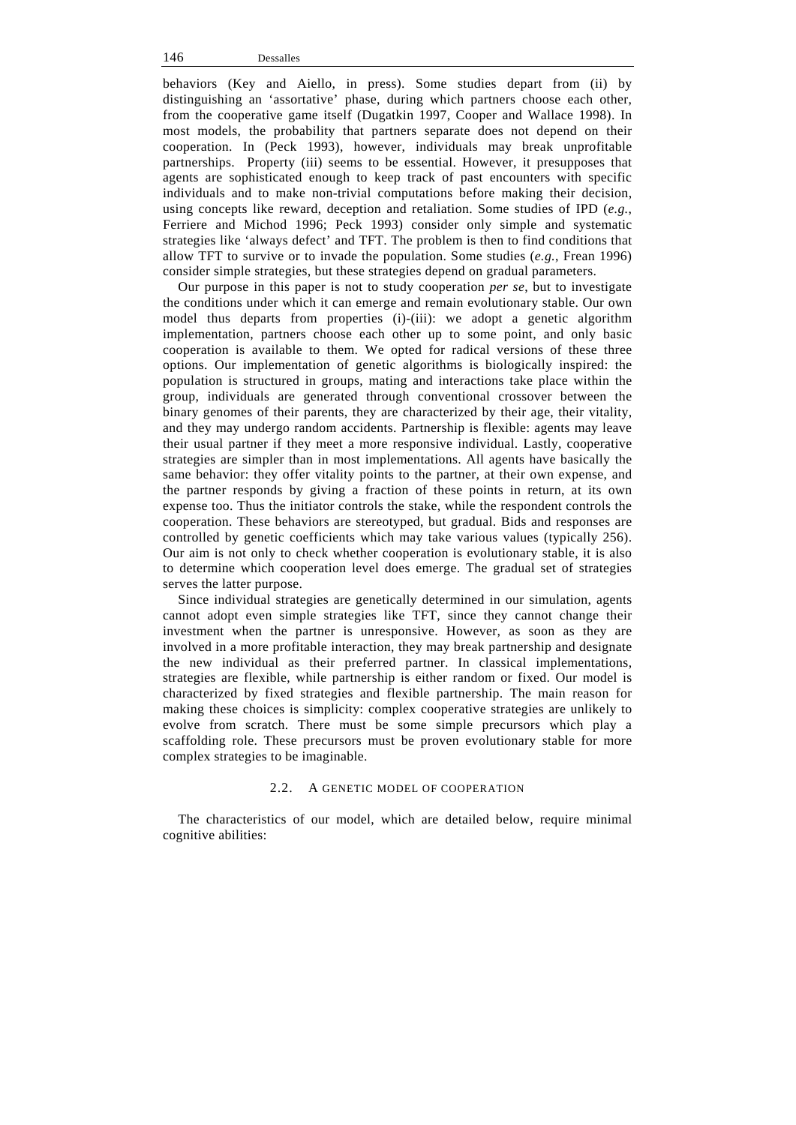behaviors (Key and Aiello, in press). Some studies depart from (ii) by distinguishing an 'assortative' phase, during which partners choose each other, from the cooperative game itself (Dugatkin 1997, Cooper and Wallace 1998). In most models, the probability that partners separate does not depend on their cooperation. In (Peck 1993), however, individuals may break unprofitable partnerships. Property (iii) seems to be essential. However, it presupposes that agents are sophisticated enough to keep track of past encounters with specific individuals and to make non-trivial computations before making their decision, using concepts like reward, deception and retaliation. Some studies of IPD (*e.g.*, Ferriere and Michod 1996; Peck 1993) consider only simple and systematic strategies like 'always defect' and TFT. The problem is then to find conditions that allow TFT to survive or to invade the population. Some studies (*e.g.*, Frean 1996) consider simple strategies, but these strategies depend on gradual parameters.

Our purpose in this paper is not to study cooperation *per se*, but to investigate the conditions under which it can emerge and remain evolutionary stable. Our own model thus departs from properties (i)-(iii): we adopt a genetic algorithm implementation, partners choose each other up to some point, and only basic cooperation is available to them. We opted for radical versions of these three options. Our implementation of genetic algorithms is biologically inspired: the population is structured in groups, mating and interactions take place within the group, individuals are generated through conventional crossover between the binary genomes of their parents, they are characterized by their age, their vitality, and they may undergo random accidents. Partnership is flexible: agents may leave their usual partner if they meet a more responsive individual. Lastly, cooperative strategies are simpler than in most implementations. All agents have basically the same behavior: they offer vitality points to the partner, at their own expense, and the partner responds by giving a fraction of these points in return, at its own expense too. Thus the initiator controls the stake, while the respondent controls the cooperation. These behaviors are stereotyped, but gradual. Bids and responses are controlled by genetic coefficients which may take various values (typically 256). Our aim is not only to check whether cooperation is evolutionary stable, it is also to determine which cooperation level does emerge. The gradual set of strategies serves the latter purpose.

Since individual strategies are genetically determined in our simulation, agents cannot adopt even simple strategies like TFT, since they cannot change their investment when the partner is unresponsive. However, as soon as they are involved in a more profitable interaction, they may break partnership and designate the new individual as their preferred partner. In classical implementations, strategies are flexible, while partnership is either random or fixed. Our model is characterized by fixed strategies and flexible partnership. The main reason for making these choices is simplicity: complex cooperative strategies are unlikely to evolve from scratch. There must be some simple precursors which play a scaffolding role. These precursors must be proven evolutionary stable for more complex strategies to be imaginable.

# 2.2. A GENETIC MODEL OF COOPERATION

The characteristics of our model, which are detailed below, require minimal cognitive abilities: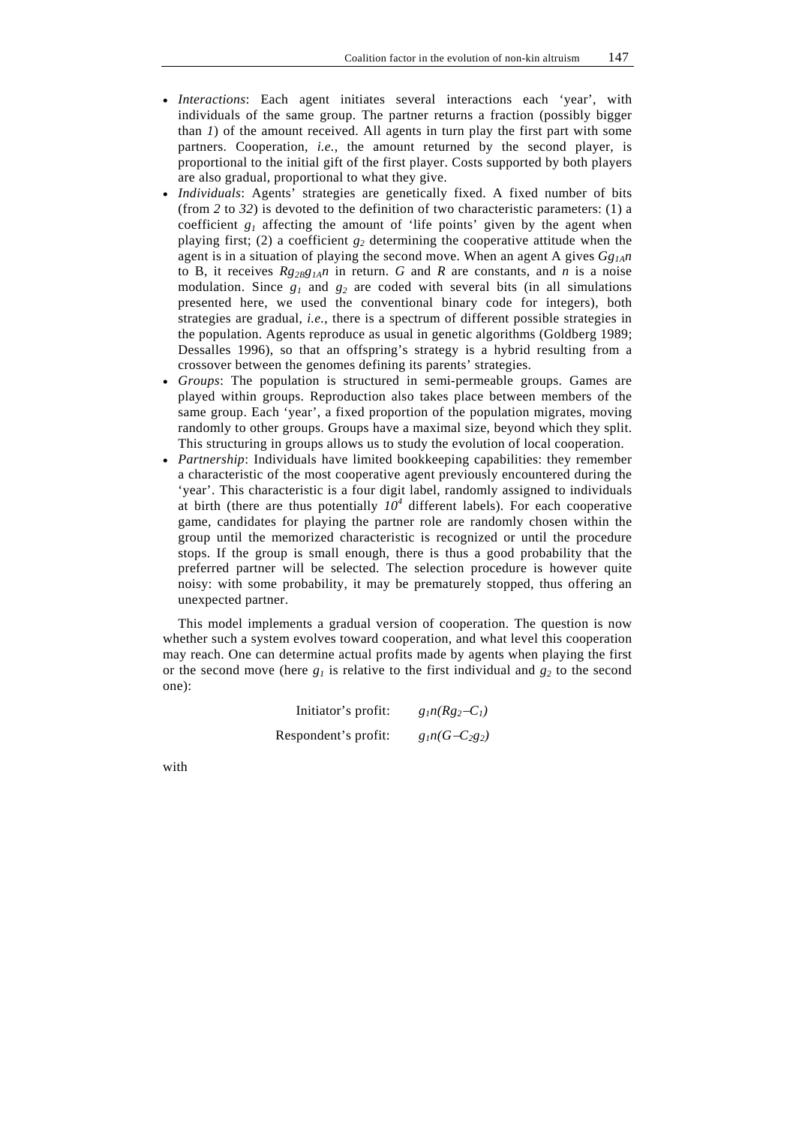- *Interactions*: Each agent initiates several interactions each 'year', with individuals of the same group. The partner returns a fraction (possibly bigger than *1*) of the amount received. All agents in turn play the first part with some partners. Cooperation, *i.e.*, the amount returned by the second player, is proportional to the initial gift of the first player. Costs supported by both players are also gradual, proportional to what they give.
- *Individuals*: Agents' strategies are genetically fixed. A fixed number of bits (from *2* to *32*) is devoted to the definition of two characteristic parameters: (1) a coefficient  $g_1$  affecting the amount of 'life points' given by the agent when playing first; (2) a coefficient  $g_2$  determining the cooperative attitude when the agent is in a situation of playing the second move. When an agent A gives *Gg1An* to B, it receives  $Rg_{2B}g_{1A}n$  in return. *G* and *R* are constants, and *n* is a noise modulation. Since  $g_1$  and  $g_2$  are coded with several bits (in all simulations presented here, we used the conventional binary code for integers), both strategies are gradual, *i.e.*, there is a spectrum of different possible strategies in the population. Agents reproduce as usual in genetic algorithms (Goldberg 1989; Dessalles 1996), so that an offspring's strategy is a hybrid resulting from a crossover between the genomes defining its parents' strategies.
- *Groups*: The population is structured in semi-permeable groups. Games are played within groups. Reproduction also takes place between members of the same group. Each 'year', a fixed proportion of the population migrates, moving randomly to other groups. Groups have a maximal size, beyond which they split. This structuring in groups allows us to study the evolution of local cooperation.
- *Partnership*: Individuals have limited bookkeeping capabilities: they remember a characteristic of the most cooperative agent previously encountered during the 'year'. This characteristic is a four digit label, randomly assigned to individuals at birth (there are thus potentially  $I_0^4$  different labels). For each cooperative game, candidates for playing the partner role are randomly chosen within the group until the memorized characteristic is recognized or until the procedure stops. If the group is small enough, there is thus a good probability that the preferred partner will be selected. The selection procedure is however quite noisy: with some probability, it may be prematurely stopped, thus offering an unexpected partner.

This model implements a gradual version of cooperation. The question is now whether such a system evolves toward cooperation, and what level this cooperation may reach. One can determine actual profits made by agents when playing the first or the second move (here  $g_l$  is relative to the first individual and  $g_2$  to the second one):

| Initiator's profit:  | $g_{1}n(Rg_{2}-C_{1})$ |
|----------------------|------------------------|
| Respondent's profit: | $g_1n(G-C_2g_2)$       |

with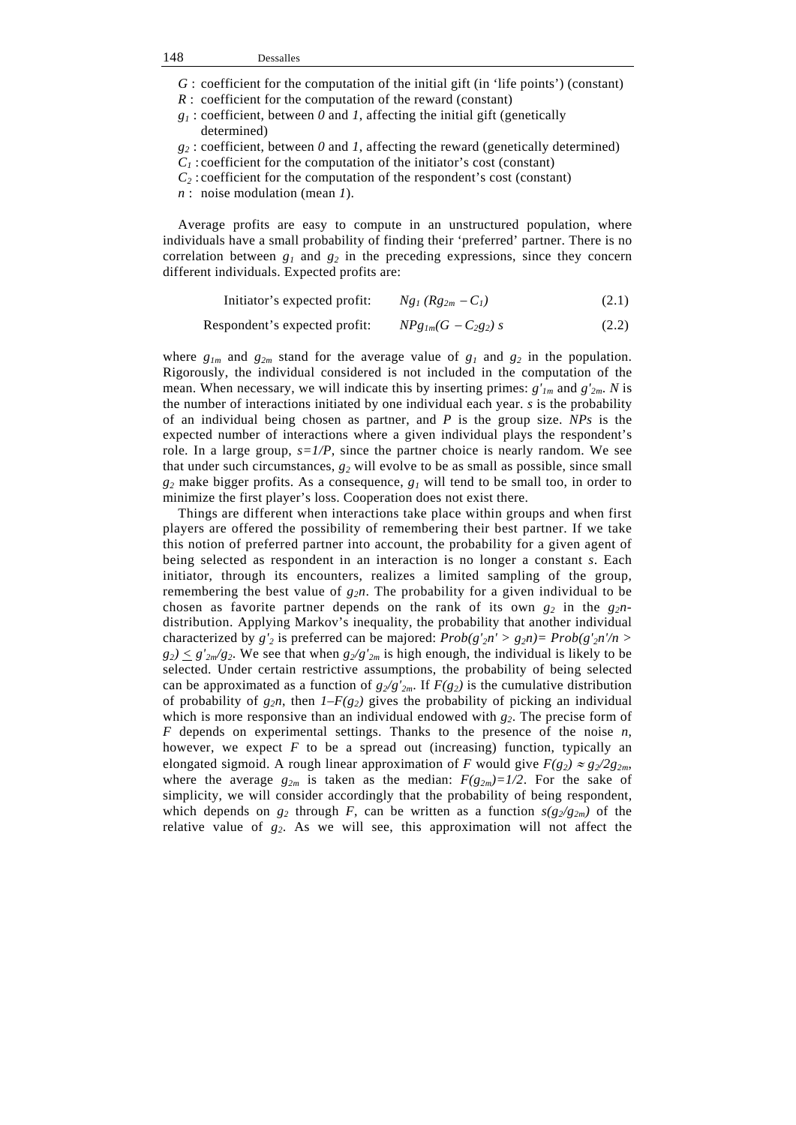- *G* : coefficient for the computation of the initial gift (in 'life points') (constant)
- *R* : coefficient for the computation of the reward (constant)
- $g_1$ : coefficient, between 0 and 1, affecting the initial gift (genetically determined)
- *g2* : coefficient, between *0* and *1*, affecting the reward (genetically determined)
- $C_1$ : coefficient for the computation of the initiator's cost (constant)
- $C_2$ : coefficient for the computation of the respondent's cost (constant)
- *n* : noise modulation (mean *1*).

Average profits are easy to compute in an unstructured population, where individuals have a small probability of finding their 'preferred' partner. There is no correlation between  $g_1$  and  $g_2$  in the preceding expressions, since they concern different individuals. Expected profits are:

$$
Initiator's expected profit: \tNg1 (Rg2m - C1) \t(2.1)
$$

Respondent's expected profit: 
$$
NPg_{lm}(G - C_2g_2) s
$$
 (2.2)

where  $g_{lm}$  and  $g_{2m}$  stand for the average value of  $g_l$  and  $g_2$  in the population. Rigorously, the individual considered is not included in the computation of the mean. When necessary, we will indicate this by inserting primes: *g'1m* and *g'2m*. *N* is the number of interactions initiated by one individual each year. *s* is the probability of an individual being chosen as partner, and *P* is the group size. *NPs* is the expected number of interactions where a given individual plays the respondent's role. In a large group,  $s=1/P$ , since the partner choice is nearly random. We see that under such circumstances,  $g_2$  will evolve to be as small as possible, since small *g2* make bigger profits. As a consequence, *g1* will tend to be small too, in order to minimize the first player's loss. Cooperation does not exist there.

Things are different when interactions take place within groups and when first players are offered the possibility of remembering their best partner. If we take this notion of preferred partner into account, the probability for a given agent of being selected as respondent in an interaction is no longer a constant *s*. Each initiator, through its encounters, realizes a limited sampling of the group, remembering the best value of  $g_2n$ . The probability for a given individual to be chosen as favorite partner depends on the rank of its own  $g_2$  in the  $g_2n$ distribution. Applying Markov's inequality, the probability that another individual characterized by  $g'_2$  is preferred can be majored:  $Prob(g'_2n' > g_2n) = Prob(g'_2n'n >$  $g_2$ )  $\leq$  *g'*<sub>2m</sub>/*g*<sub>2</sub>. We see that when  $g_2/g'_{2m}$  is high enough, the individual is likely to be selected. Under certain restrictive assumptions, the probability of being selected can be approximated as a function of  $g_2/g'_{2m}$ . If  $F(g_2)$  is the cumulative distribution of probability of  $g_2$ n, then  $1-F(g_2)$  gives the probability of picking an individual which is more responsive than an individual endowed with  $g_2$ . The precise form of *F* depends on experimental settings. Thanks to the presence of the noise *n*, however, we expect  $F$  to be a spread out (increasing) function, typically an elongated sigmoid. A rough linear approximation of *F* would give  $F(g_2) \approx g_2/2g_{2m}$ , where the average  $g_{2m}$  is taken as the median:  $F(g_{2m})=1/2$ . For the sake of simplicity, we will consider accordingly that the probability of being respondent, which depends on  $g_2$  through *F*, can be written as a function  $s(g_2/g_{2m})$  of the relative value of *g2*. As we will see, this approximation will not affect the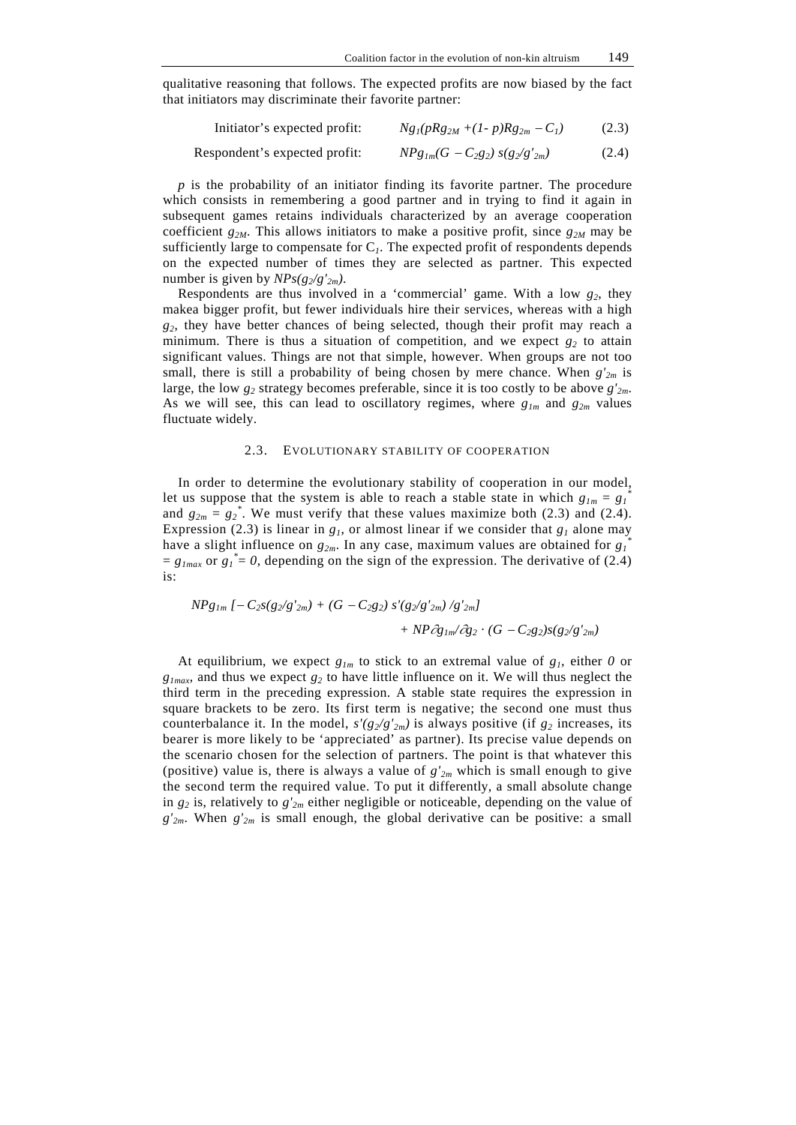qualitative reasoning that follows. The expected profits are now biased by the fact that initiators may discriminate their favorite partner:

$$
Initiator's expected profit: \qquad Ng_I(pRg_{2M} + (1-p)Rg_{2m} - C_I) \tag{2.3}
$$

Respondent's expected profit: 
$$
NPg_{lm}(G - C_2g_2) s(g_2/g'_{2m})
$$
 (2.4)

*p* is the probability of an initiator finding its favorite partner. The procedure which consists in remembering a good partner and in trying to find it again in subsequent games retains individuals characterized by an average cooperation coefficient  $g_{2M}$ . This allows initiators to make a positive profit, since  $g_{2M}$  may be sufficiently large to compensate for  $C_I$ . The expected profit of respondents depends on the expected number of times they are selected as partner. This expected number is given by  $NPs(g_2/g'_{2m})$ .

Respondents are thus involved in a 'commercial' game. With a low *g2*, they makea bigger profit, but fewer individuals hire their services, whereas with a high *g2*, they have better chances of being selected, though their profit may reach a minimum. There is thus a situation of competition, and we expect  $g_2$  to attain significant values. Things are not that simple, however. When groups are not too small, there is still a probability of being chosen by mere chance. When *g'2m* is large, the low *g2* strategy becomes preferable, since it is too costly to be above *g'2m*. As we will see, this can lead to oscillatory regimes, where *g1m* and *g2m* values fluctuate widely.

## 2.3. EVOLUTIONARY STABILITY OF COOPERATION

In order to determine the evolutionary stability of cooperation in our model, let us suppose that the system is able to reach a stable state in which  $g_{lm} = g_l^*$ and  $g_{2m} = g_2^*$ . We must verify that these values maximize both (2.3) and (2.4). Expression (2.3) is linear in  $g_1$ , or almost linear if we consider that  $g_1$  alone may have a slight influence on  $g_{2m}$ . In any case, maximum values are obtained for  $g_1^*$  $= g_{Imax}$  or  $g_1^* = 0$ , depending on the sign of the expression. The derivative of (2.4) is:

$$
NPg_{lm}[-C_2s(g_2/g'_{2m}) + (G - C_2g_2) s'(g_2/g'_{2m}) / g'_{2m}]
$$
  
+ 
$$
NP\partial g_{lm}/\partial g_2 \cdot (G - C_2g_2)s(g_2/g'_{2m})
$$

At equilibrium, we expect  $g_{lm}$  to stick to an extremal value of  $g_l$ , either 0 or  $g_{1max}$ , and thus we expect  $g_2$  to have little influence on it. We will thus neglect the third term in the preceding expression. A stable state requires the expression in square brackets to be zero. Its first term is negative; the second one must thus counterbalance it. In the model,  $s'(g_2/g'_{2m})$  is always positive (if  $g_2$  increases, its bearer is more likely to be 'appreciated' as partner). Its precise value depends on the scenario chosen for the selection of partners. The point is that whatever this (positive) value is, there is always a value of *g'2m* which is small enough to give the second term the required value. To put it differently, a small absolute change in  $g_2$  is, relatively to  $g'_{2m}$  either negligible or noticeable, depending on the value of *g'2m*. When *g'2m* is small enough, the global derivative can be positive: a small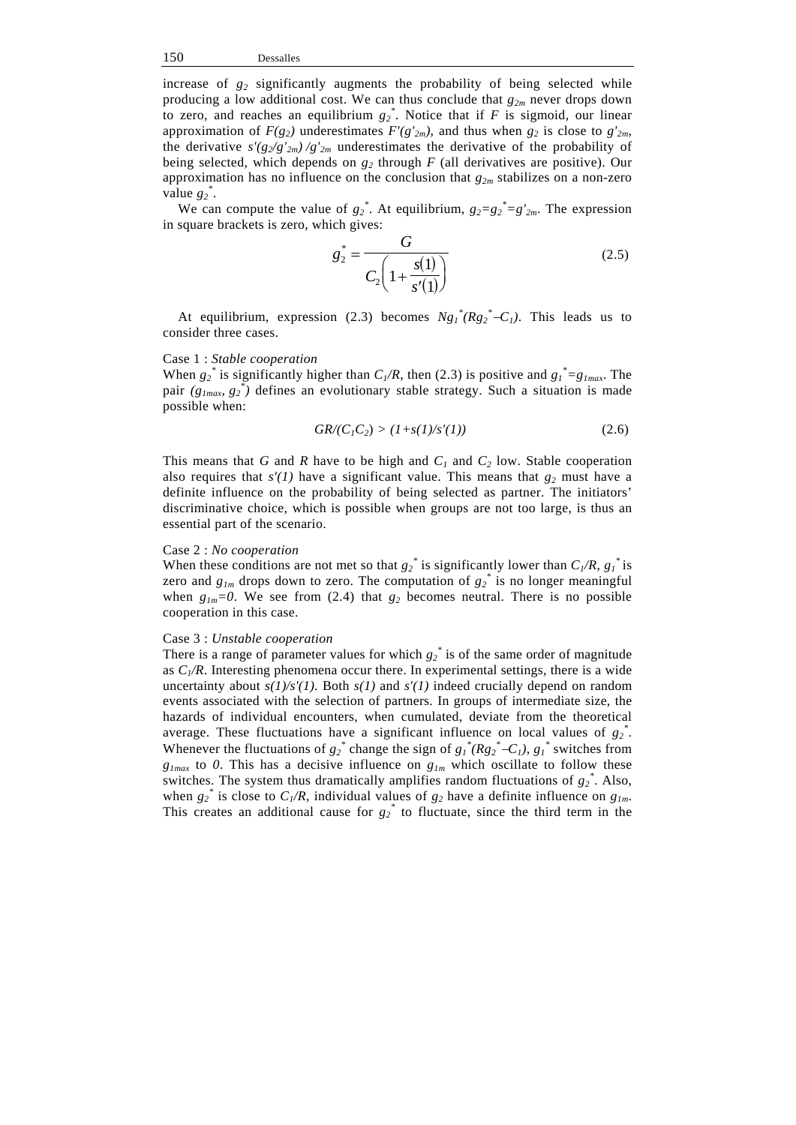increase of  $g_2$  significantly augments the probability of being selected while producing a low additional cost. We can thus conclude that *g2m* never drops down to zero, and reaches an equilibrium  $g_2^*$ . Notice that if *F* is sigmoid, our linear approximation of  $F(g_2)$  underestimates  $F'(g'_{2m})$ , and thus when  $g_2$  is close to  $g'_{2m}$ , the derivative  $s'(g_2/g'_{2m})/g'_{2m}$  underestimates the derivative of the probability of being selected, which depends on  $g_2$  through  $F$  (all derivatives are positive). Our approximation has no influence on the conclusion that *g2m* stabilizes on a non-zero value  $g_2^*$ .

We can compute the value of  $g_2^*$ . At equilibrium,  $g_2 = g_2^* = g'_{2m}$ . The expression in square brackets is zero, which gives:

$$
g_2^* = \frac{G}{C_2 \left(1 + \frac{s(1)}{s'(1)}\right)}\tag{2.5}
$$

At equilibrium, expression (2.3) becomes  $Ng_1^{\dagger}(Rg_2^{\dagger}-C_1)$ . This leads us to consider three cases.

#### Case 1 : *Stable cooperation*

When  $g_2^*$  is significantly higher than  $C_1/R$ , then (2.3) is positive and  $g_1^* = g_{1max}$ . The pair  $(g_{lmax}, g_2^* )$  defines an evolutionary stable strategy. Such a situation is made possible when:

$$
GR/(C_1C_2) > (1+s(1)/s'(1))
$$
\n(2.6)

This means that *G* and *R* have to be high and  $C_1$  and  $C_2$  low. Stable cooperation also requires that  $s'(1)$  have a significant value. This means that  $g_2$  must have a definite influence on the probability of being selected as partner. The initiators' discriminative choice, which is possible when groups are not too large, is thus an essential part of the scenario.

#### Case 2 : *No cooperation*

When these conditions are not met so that  $g_2^*$  is significantly lower than  $C_1/R$ ,  $g_1^*$  is zero and  $g_{lm}$  drops down to zero. The computation of  $g_2^*$  is no longer meaningful when  $g_{lm}=0$ . We see from (2.4) that  $g_2$  becomes neutral. There is no possible cooperation in this case.

#### Case 3 : *Unstable cooperation*

There is a range of parameter values for which  $g_2^*$  is of the same order of magnitude as  $C_1/R$ . Interesting phenomena occur there. In experimental settings, there is a wide uncertainty about  $s(1)/s'(1)$ . Both  $s(1)$  and  $s'(1)$  indeed crucially depend on random events associated with the selection of partners. In groups of intermediate size, the hazards of individual encounters, when cumulated, deviate from the theoretical average. These fluctuations have a significant influence on local values of  $g_2^*$ . Whenever the fluctuations of  $g_2^*$  change the sign of  $g_1^*(Rg_2^* - C_1)$ ,  $g_1^*$  switches from  $g_{lmax}$  to 0. This has a decisive influence on  $g_{lm}$  which oscillate to follow these switches. The system thus dramatically amplifies random fluctuations of  $g_2^*$ . Also, when  $g_2^*$  is close to  $C_1/R$ , individual values of  $g_2$  have a definite influence on  $g_{1m}$ . This creates an additional cause for  $g_2^*$  to fluctuate, since the third term in the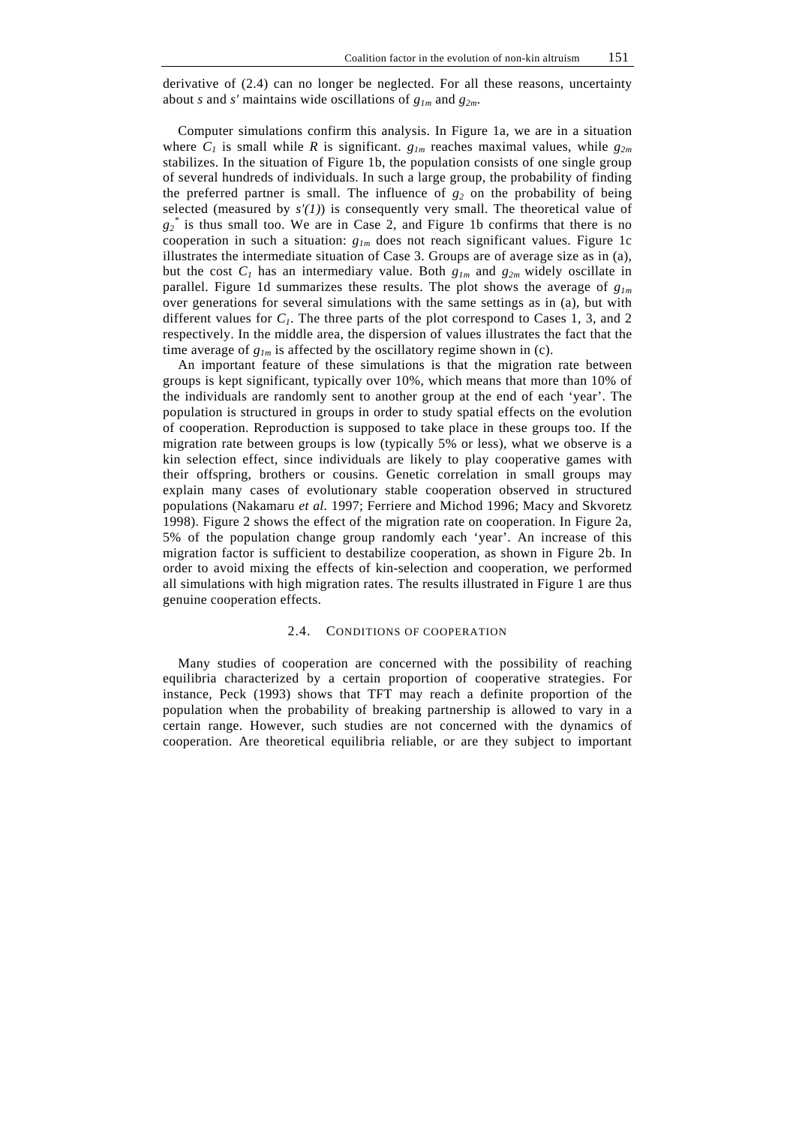derivative of (2.4) can no longer be neglected. For all these reasons, uncertainty about *s* and *s'* maintains wide oscillations of *g1m* and *g2m*.

Computer simulations confirm this analysis. In Figure 1a, we are in a situation where  $C_1$  is small while  $R$  is significant.  $g_{1m}$  reaches maximal values, while  $g_{2m}$ stabilizes. In the situation of Figure 1b, the population consists of one single group of several hundreds of individuals. In such a large group, the probability of finding the preferred partner is small. The influence of  $g<sub>2</sub>$  on the probability of being selected (measured by  $s'(1)$ ) is consequently very small. The theoretical value of  $g_2^*$  is thus small too. We are in Case 2, and Figure 1b confirms that there is no cooperation in such a situation: *g1m* does not reach significant values. Figure 1c illustrates the intermediate situation of Case 3. Groups are of average size as in (a), but the cost  $C_1$  has an intermediary value. Both  $g_{1m}$  and  $g_{2m}$  widely oscillate in parallel. Figure 1d summarizes these results. The plot shows the average of *g1m* over generations for several simulations with the same settings as in (a), but with different values for  $C_1$ . The three parts of the plot correspond to Cases 1, 3, and 2 respectively. In the middle area, the dispersion of values illustrates the fact that the time average of  $g_{lm}$  is affected by the oscillatory regime shown in (c).

An important feature of these simulations is that the migration rate between groups is kept significant, typically over 10%, which means that more than 10% of the individuals are randomly sent to another group at the end of each 'year'. The population is structured in groups in order to study spatial effects on the evolution of cooperation. Reproduction is supposed to take place in these groups too. If the migration rate between groups is low (typically 5% or less), what we observe is a kin selection effect, since individuals are likely to play cooperative games with their offspring, brothers or cousins. Genetic correlation in small groups may explain many cases of evolutionary stable cooperation observed in structured populations (Nakamaru *et al.* 1997; Ferriere and Michod 1996; Macy and Skvoretz 1998). Figure 2 shows the effect of the migration rate on cooperation. In Figure 2a, 5% of the population change group randomly each 'year'. An increase of this migration factor is sufficient to destabilize cooperation, as shown in Figure 2b. In order to avoid mixing the effects of kin-selection and cooperation, we performed all simulations with high migration rates. The results illustrated in Figure 1 are thus genuine cooperation effects.

#### 2.4. CONDITIONS OF COOPERATION

Many studies of cooperation are concerned with the possibility of reaching equilibria characterized by a certain proportion of cooperative strategies. For instance, Peck (1993) shows that TFT may reach a definite proportion of the population when the probability of breaking partnership is allowed to vary in a certain range. However, such studies are not concerned with the dynamics of cooperation. Are theoretical equilibria reliable, or are they subject to important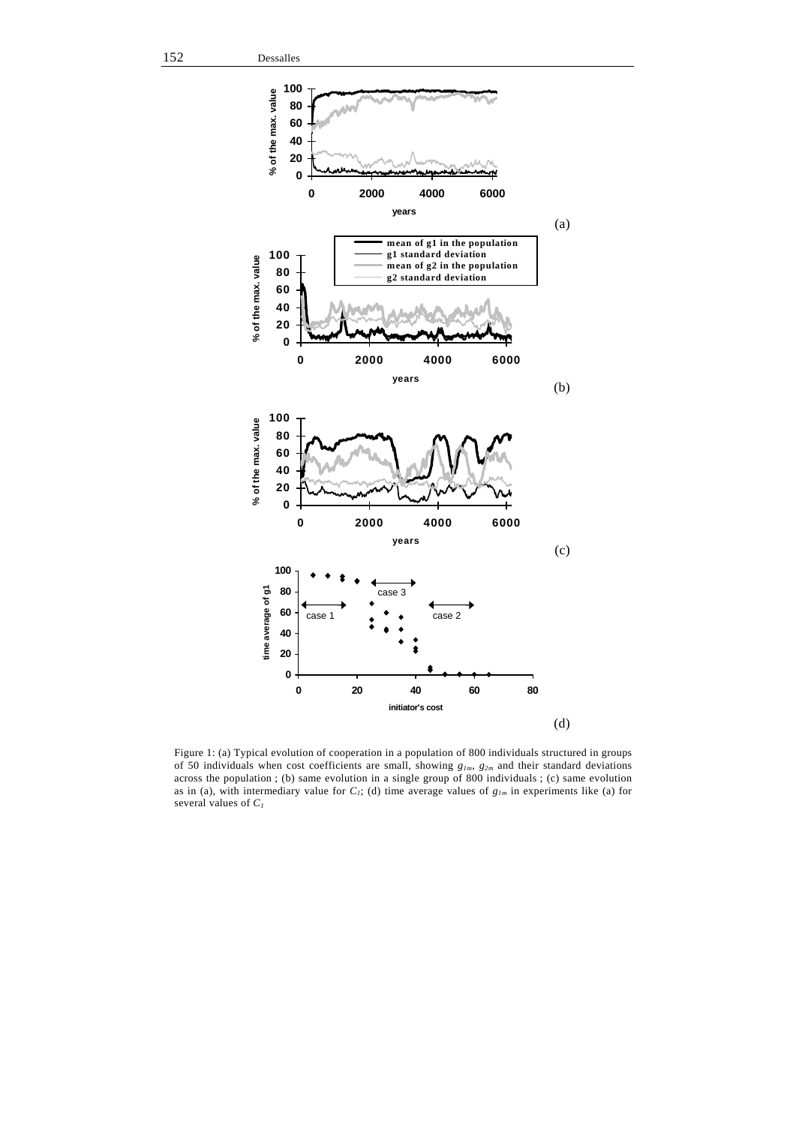

Figure 1: (a) Typical evolution of cooperation in a population of 800 individuals structured in groups of 50 individuals when cost coefficients are small, showing *g1m*, *g2m* and their standard deviations across the population ; (b) same evolution in a single group of 800 individuals ; (c) same evolution as in (a), with intermediary value for  $C_1$ ; (d) time average values of  $g_{lm}$  in experiments like (a) for several values of *C1*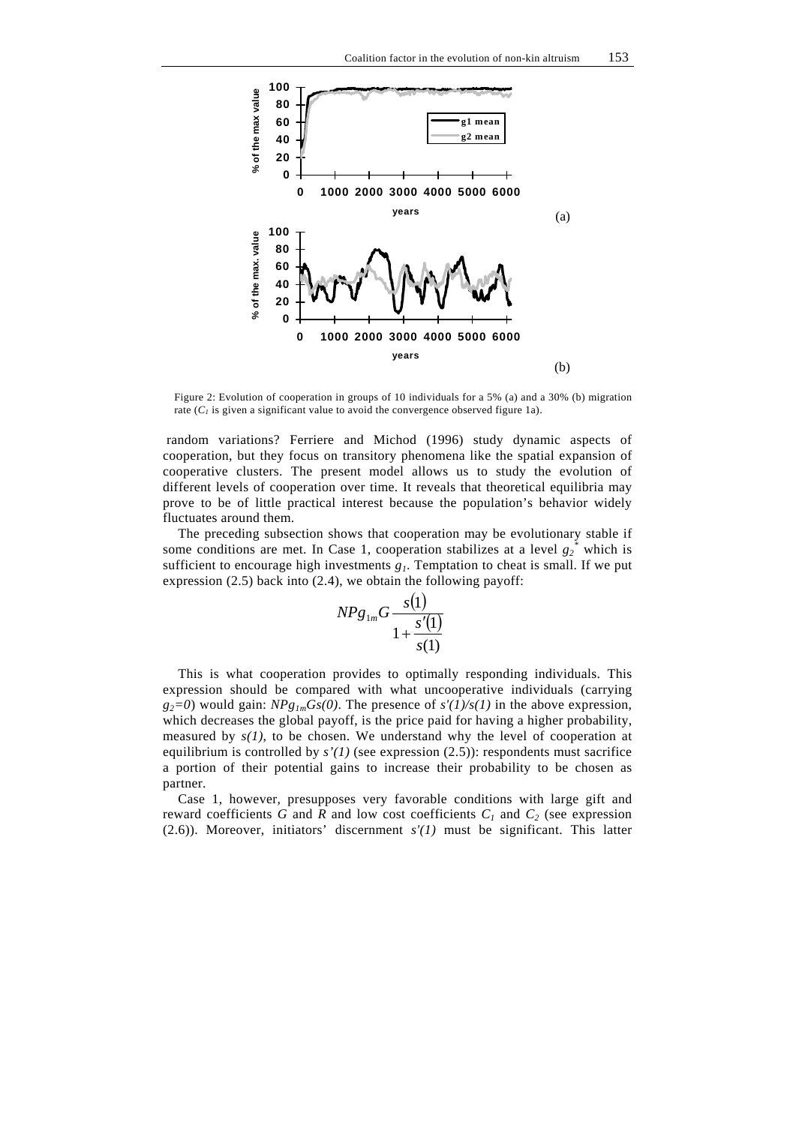

Figure 2: Evolution of cooperation in groups of 10 individuals for a 5% (a) and a 30% (b) migration rate  $(C<sub>1</sub>$  is given a significant value to avoid the convergence observed figure 1a).

 random variations? Ferriere and Michod (1996) study dynamic aspects of cooperation, but they focus on transitory phenomena like the spatial expansion of cooperative clusters. The present model allows us to study the evolution of different levels of cooperation over time. It reveals that theoretical equilibria may prove to be of little practical interest because the population's behavior widely fluctuates around them.

The preceding subsection shows that cooperation may be evolutionary stable if some conditions are met. In Case 1, cooperation stabilizes at a level  $g_2^*$  which is sufficient to encourage high investments  $g_1$ . Temptation to cheat is small. If we put expression (2.5) back into (2.4), we obtain the following payoff:

$$
NPg_{1m}G \frac{s(1)}{1 + \frac{s'(1)}{s(1)}}
$$

This is what cooperation provides to optimally responding individuals. This expression should be compared with what uncooperative individuals (carrying  $g_2=0$ ) would gain:  $NPg_{Im}Gs(0)$ . The presence of  $s'(1)/s(1)$  in the above expression, which decreases the global payoff, is the price paid for having a higher probability, measured by  $s(1)$ , to be chosen. We understand why the level of cooperation at equilibrium is controlled by  $s'(1)$  (see expression (2.5)): respondents must sacrifice a portion of their potential gains to increase their probability to be chosen as partner.

Case 1, however, presupposes very favorable conditions with large gift and reward coefficients *G* and *R* and low cost coefficients  $C_1$  and  $C_2$  (see expression (2.6)). Moreover, initiators' discernment *s'(1)* must be significant. This latter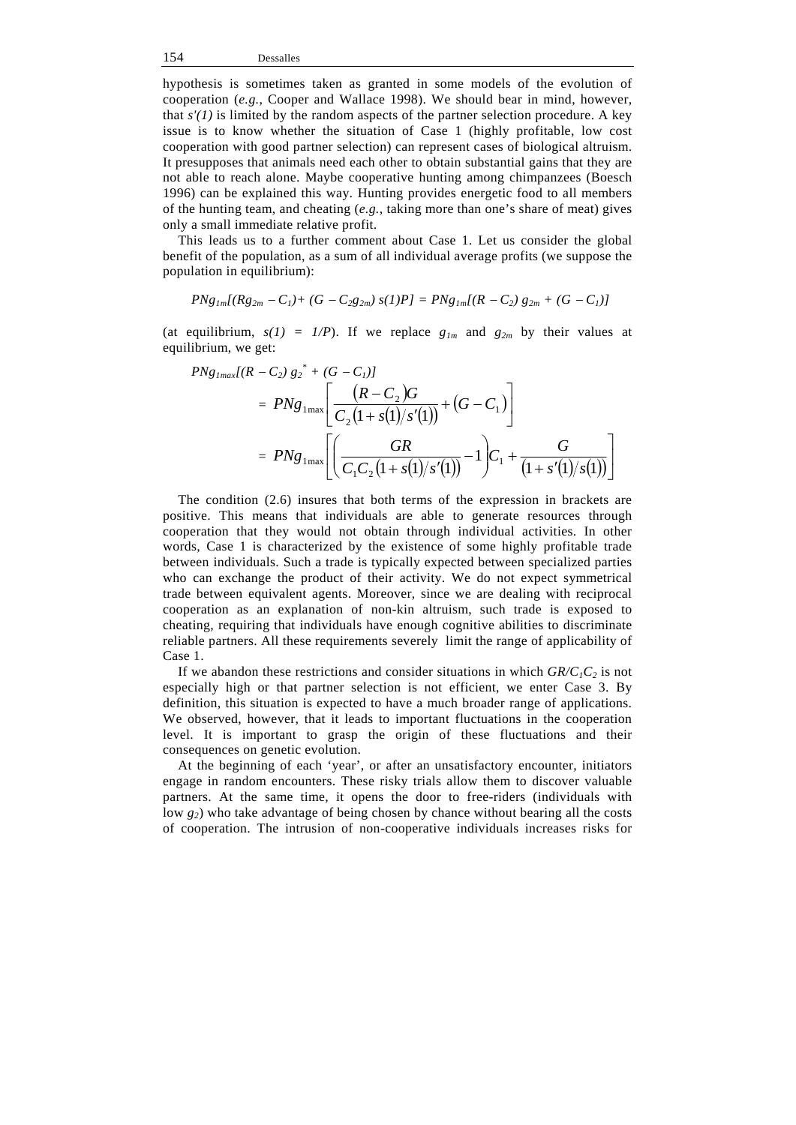hypothesis is sometimes taken as granted in some models of the evolution of cooperation (*e.g.*, Cooper and Wallace 1998). We should bear in mind, however, that  $s'(1)$  is limited by the random aspects of the partner selection procedure. A key issue is to know whether the situation of Case 1 (highly profitable, low cost cooperation with good partner selection) can represent cases of biological altruism. It presupposes that animals need each other to obtain substantial gains that they are not able to reach alone. Maybe cooperative hunting among chimpanzees (Boesch 1996) can be explained this way. Hunting provides energetic food to all members of the hunting team, and cheating (*e.g.*, taking more than one's share of meat) gives only a small immediate relative profit.

This leads us to a further comment about Case 1. Let us consider the global benefit of the population, as a sum of all individual average profits (we suppose the population in equilibrium):

$$
PNg_{lm}[(Rg_{2m}-C_1)+(G-C_2g_{2m}) s(1)P]=PNg_{lm}[(R-C_2) g_{2m}+(G-C_1)]
$$

(at equilibrium,  $s(I) = I/P$ ). If we replace  $g_{lm}$  and  $g_{2m}$  by their values at equilibrium, we get:

$$
PNg_{1max}[(R - C_2) g_2^* + (G - C_1)]
$$
  
= 
$$
PNg_{1max} \left[ \frac{(R - C_2)G}{C_2(1 + s(1)/s'(1))} + (G - C_1) \right]
$$
  
= 
$$
PNg_{1max} \left[ \left( \frac{GR}{C_1C_2(1 + s(1)/s'(1))} - 1 \right) C_1 + \frac{G}{(1 + s'(1)/s(1))} \right]
$$

The condition (2.6) insures that both terms of the expression in brackets are positive. This means that individuals are able to generate resources through cooperation that they would not obtain through individual activities. In other words, Case 1 is characterized by the existence of some highly profitable trade between individuals. Such a trade is typically expected between specialized parties who can exchange the product of their activity. We do not expect symmetrical trade between equivalent agents. Moreover, since we are dealing with reciprocal cooperation as an explanation of non-kin altruism, such trade is exposed to cheating, requiring that individuals have enough cognitive abilities to discriminate reliable partners. All these requirements severely limit the range of applicability of Case 1.

If we abandon these restrictions and consider situations in which  $GR/C<sub>1</sub>C<sub>2</sub>$  is not especially high or that partner selection is not efficient, we enter Case 3. By definition, this situation is expected to have a much broader range of applications. We observed, however, that it leads to important fluctuations in the cooperation level. It is important to grasp the origin of these fluctuations and their consequences on genetic evolution.

At the beginning of each 'year', or after an unsatisfactory encounter, initiators engage in random encounters. These risky trials allow them to discover valuable partners. At the same time, it opens the door to free-riders (individuals with low  $g_2$ ) who take advantage of being chosen by chance without bearing all the costs of cooperation. The intrusion of non-cooperative individuals increases risks for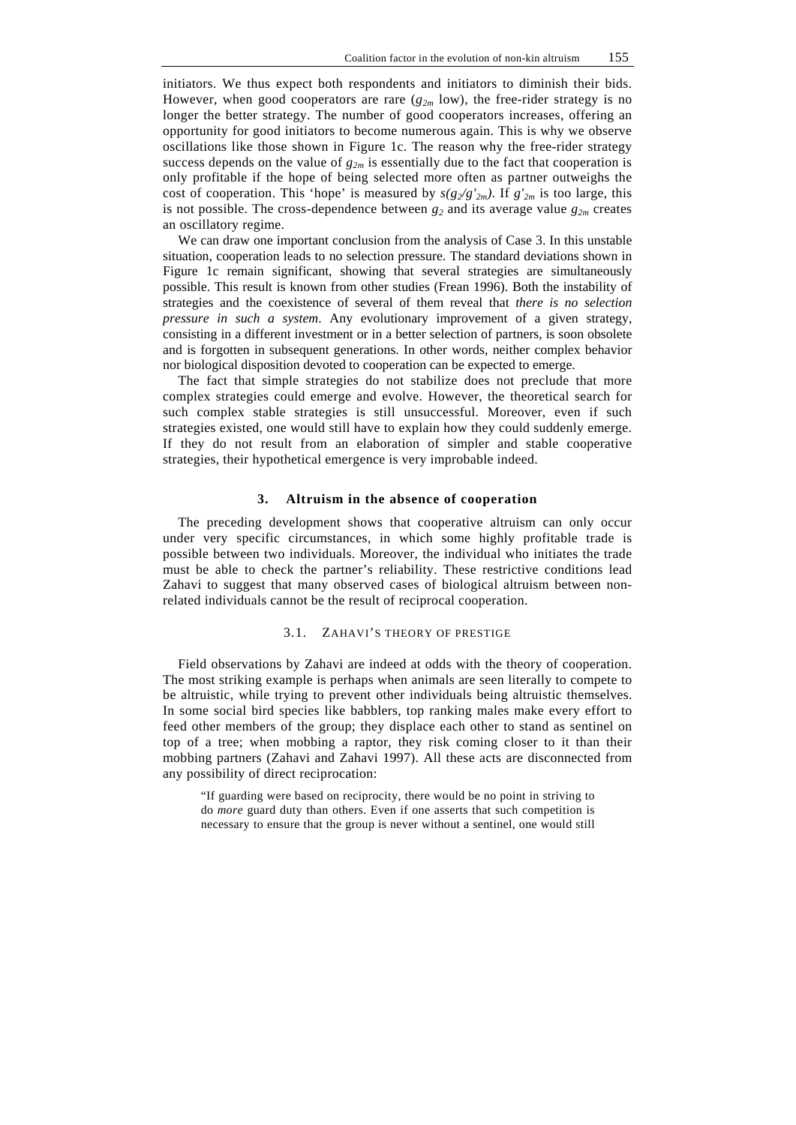initiators. We thus expect both respondents and initiators to diminish their bids. However, when good cooperators are rare  $(g_{2m} \text{ low})$ , the free-rider strategy is no longer the better strategy. The number of good cooperators increases, offering an opportunity for good initiators to become numerous again. This is why we observe oscillations like those shown in Figure 1c. The reason why the free-rider strategy success depends on the value of  $g_{2m}$  is essentially due to the fact that cooperation is only profitable if the hope of being selected more often as partner outweighs the cost of cooperation. This 'hope' is measured by  $s(g_2/g'_{2m})$ . If  $g'_{2m}$  is too large, this is not possible. The cross-dependence between  $g_2$  and its average value  $g_{2m}$  creates an oscillatory regime.

We can draw one important conclusion from the analysis of Case 3. In this unstable situation, cooperation leads to no selection pressure. The standard deviations shown in Figure 1c remain significant, showing that several strategies are simultaneously possible. This result is known from other studies (Frean 1996). Both the instability of strategies and the coexistence of several of them reveal that *there is no selection pressure in such a system*. Any evolutionary improvement of a given strategy, consisting in a different investment or in a better selection of partners, is soon obsolete and is forgotten in subsequent generations. In other words, neither complex behavior nor biological disposition devoted to cooperation can be expected to emerge.

The fact that simple strategies do not stabilize does not preclude that more complex strategies could emerge and evolve. However, the theoretical search for such complex stable strategies is still unsuccessful. Moreover, even if such strategies existed, one would still have to explain how they could suddenly emerge. If they do not result from an elaboration of simpler and stable cooperative strategies, their hypothetical emergence is very improbable indeed.

#### **3. Altruism in the absence of cooperation**

The preceding development shows that cooperative altruism can only occur under very specific circumstances, in which some highly profitable trade is possible between two individuals. Moreover, the individual who initiates the trade must be able to check the partner's reliability. These restrictive conditions lead Zahavi to suggest that many observed cases of biological altruism between nonrelated individuals cannot be the result of reciprocal cooperation.

#### 3.1. ZAHAVI'S THEORY OF PRESTIGE

Field observations by Zahavi are indeed at odds with the theory of cooperation. The most striking example is perhaps when animals are seen literally to compete to be altruistic, while trying to prevent other individuals being altruistic themselves. In some social bird species like babblers, top ranking males make every effort to feed other members of the group; they displace each other to stand as sentinel on top of a tree; when mobbing a raptor, they risk coming closer to it than their mobbing partners (Zahavi and Zahavi 1997). All these acts are disconnected from any possibility of direct reciprocation:

"If guarding were based on reciprocity, there would be no point in striving to do *more* guard duty than others. Even if one asserts that such competition is necessary to ensure that the group is never without a sentinel, one would still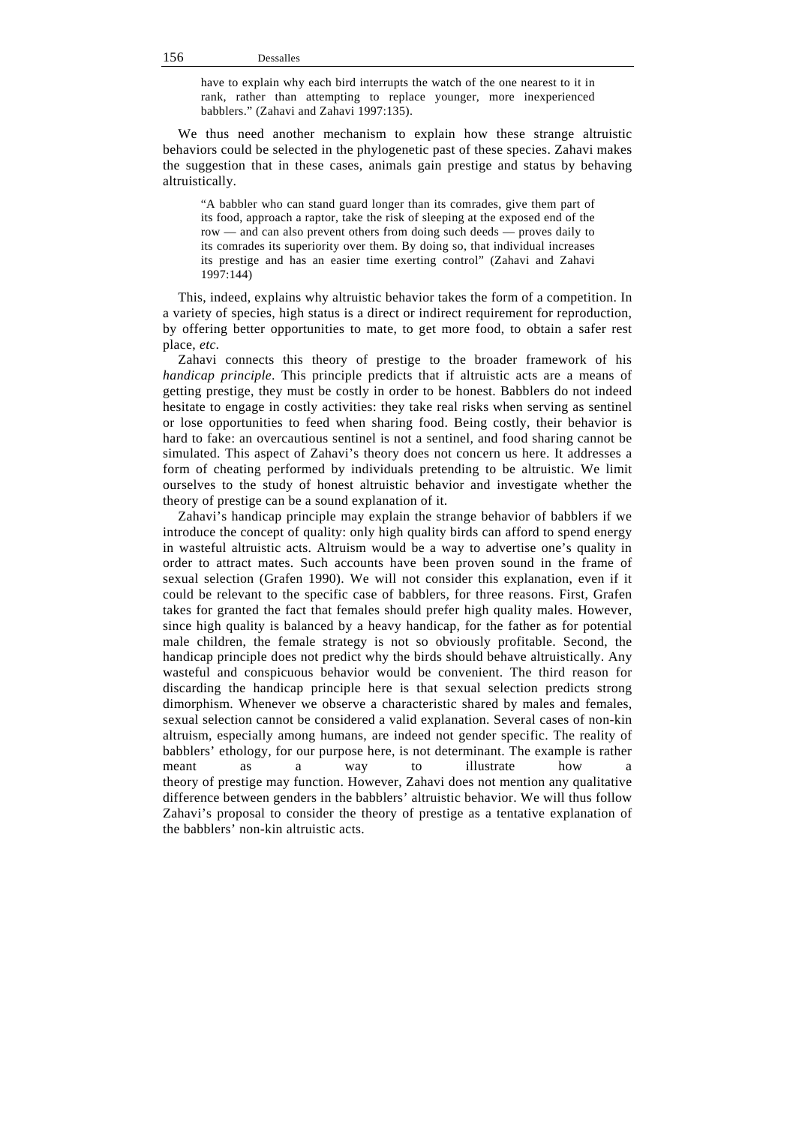have to explain why each bird interrupts the watch of the one nearest to it in rank, rather than attempting to replace younger, more inexperienced babblers." (Zahavi and Zahavi 1997:135).

We thus need another mechanism to explain how these strange altruistic behaviors could be selected in the phylogenetic past of these species. Zahavi makes the suggestion that in these cases, animals gain prestige and status by behaving altruistically.

"A babbler who can stand guard longer than its comrades, give them part of its food, approach a raptor, take the risk of sleeping at the exposed end of the row — and can also prevent others from doing such deeds — proves daily to its comrades its superiority over them. By doing so, that individual increases its prestige and has an easier time exerting control" (Zahavi and Zahavi 1997:144)

This, indeed, explains why altruistic behavior takes the form of a competition. In a variety of species, high status is a direct or indirect requirement for reproduction, by offering better opportunities to mate, to get more food, to obtain a safer rest place, *etc*.

Zahavi connects this theory of prestige to the broader framework of his *handicap principle*. This principle predicts that if altruistic acts are a means of getting prestige, they must be costly in order to be honest. Babblers do not indeed hesitate to engage in costly activities: they take real risks when serving as sentinel or lose opportunities to feed when sharing food. Being costly, their behavior is hard to fake: an overcautious sentinel is not a sentinel, and food sharing cannot be simulated. This aspect of Zahavi's theory does not concern us here. It addresses a form of cheating performed by individuals pretending to be altruistic. We limit ourselves to the study of honest altruistic behavior and investigate whether the theory of prestige can be a sound explanation of it.

Zahavi's handicap principle may explain the strange behavior of babblers if we introduce the concept of quality: only high quality birds can afford to spend energy in wasteful altruistic acts. Altruism would be a way to advertise one's quality in order to attract mates. Such accounts have been proven sound in the frame of sexual selection (Grafen 1990). We will not consider this explanation, even if it could be relevant to the specific case of babblers, for three reasons. First, Grafen takes for granted the fact that females should prefer high quality males. However, since high quality is balanced by a heavy handicap, for the father as for potential male children, the female strategy is not so obviously profitable. Second, the handicap principle does not predict why the birds should behave altruistically. Any wasteful and conspicuous behavior would be convenient. The third reason for discarding the handicap principle here is that sexual selection predicts strong dimorphism. Whenever we observe a characteristic shared by males and females, sexual selection cannot be considered a valid explanation. Several cases of non-kin altruism, especially among humans, are indeed not gender specific. The reality of babblers' ethology, for our purpose here, is not determinant. The example is rather meant as a way to illustrate how theory of prestige may function. However, Zahavi does not mention any qualitative difference between genders in the babblers' altruistic behavior. We will thus follow Zahavi's proposal to consider the theory of prestige as a tentative explanation of the babblers' non-kin altruistic acts.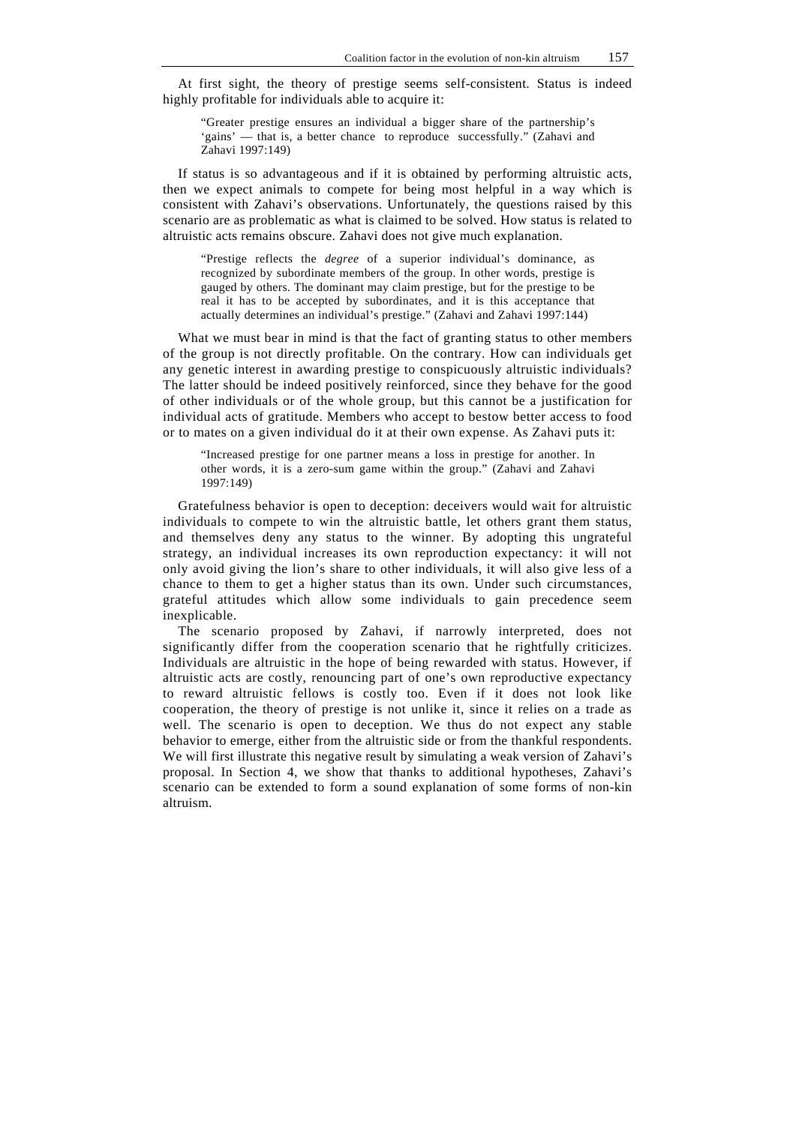At first sight, the theory of prestige seems self-consistent. Status is indeed highly profitable for individuals able to acquire it:

"Greater prestige ensures an individual a bigger share of the partnership's 'gains' — that is, a better chance to reproduce successfully." (Zahavi and Zahavi 1997:149)

If status is so advantageous and if it is obtained by performing altruistic acts, then we expect animals to compete for being most helpful in a way which is consistent with Zahavi's observations. Unfortunately, the questions raised by this scenario are as problematic as what is claimed to be solved. How status is related to altruistic acts remains obscure. Zahavi does not give much explanation.

"Prestige reflects the *degree* of a superior individual's dominance, as recognized by subordinate members of the group. In other words, prestige is gauged by others. The dominant may claim prestige, but for the prestige to be real it has to be accepted by subordinates, and it is this acceptance that actually determines an individual's prestige." (Zahavi and Zahavi 1997:144)

What we must bear in mind is that the fact of granting status to other members of the group is not directly profitable. On the contrary. How can individuals get any genetic interest in awarding prestige to conspicuously altruistic individuals? The latter should be indeed positively reinforced, since they behave for the good of other individuals or of the whole group, but this cannot be a justification for individual acts of gratitude. Members who accept to bestow better access to food or to mates on a given individual do it at their own expense. As Zahavi puts it:

"Increased prestige for one partner means a loss in prestige for another. In other words, it is a zero-sum game within the group." (Zahavi and Zahavi 1997:149)

Gratefulness behavior is open to deception: deceivers would wait for altruistic individuals to compete to win the altruistic battle, let others grant them status, and themselves deny any status to the winner. By adopting this ungrateful strategy, an individual increases its own reproduction expectancy: it will not only avoid giving the lion's share to other individuals, it will also give less of a chance to them to get a higher status than its own. Under such circumstances, grateful attitudes which allow some individuals to gain precedence seem inexplicable.

The scenario proposed by Zahavi, if narrowly interpreted, does not significantly differ from the cooperation scenario that he rightfully criticizes. Individuals are altruistic in the hope of being rewarded with status. However, if altruistic acts are costly, renouncing part of one's own reproductive expectancy to reward altruistic fellows is costly too. Even if it does not look like cooperation, the theory of prestige is not unlike it, since it relies on a trade as well. The scenario is open to deception. We thus do not expect any stable behavior to emerge, either from the altruistic side or from the thankful respondents. We will first illustrate this negative result by simulating a weak version of Zahavi's proposal. In Section 4, we show that thanks to additional hypotheses, Zahavi's scenario can be extended to form a sound explanation of some forms of non-kin altruism.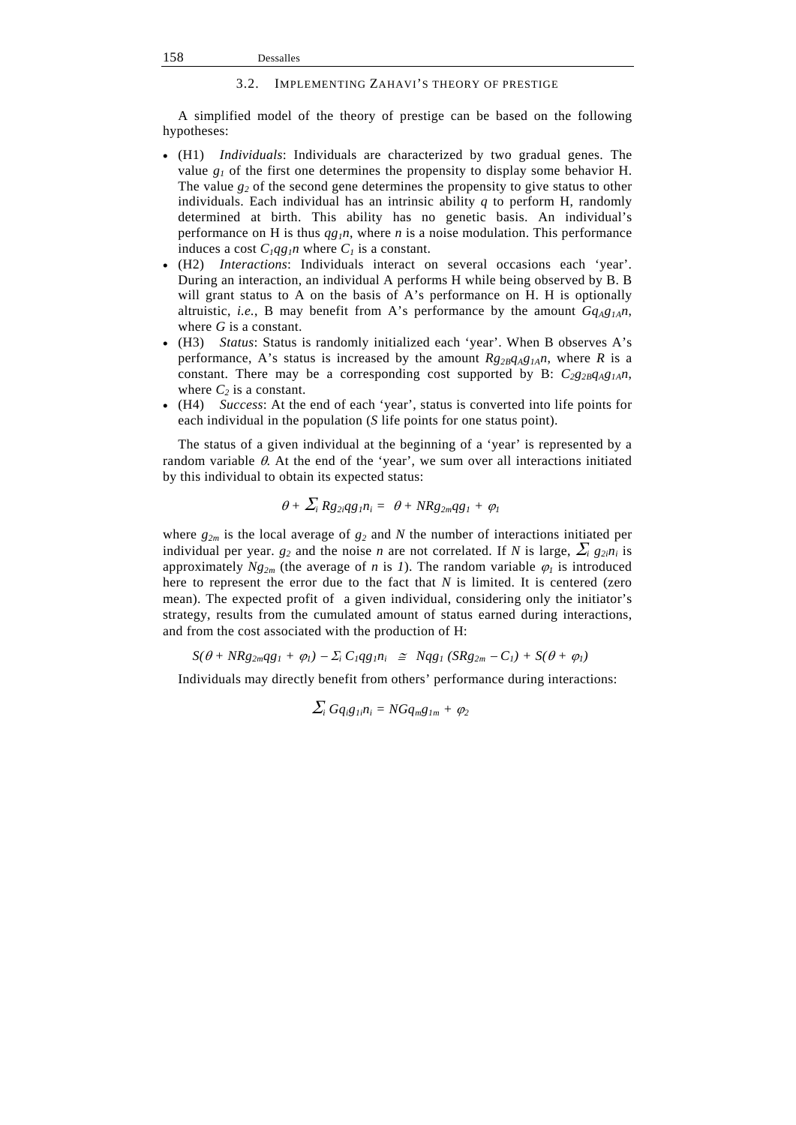## 3.2. IMPLEMENTING ZAHAVI'S THEORY OF PRESTIGE

A simplified model of the theory of prestige can be based on the following hypotheses:

- (H1) *Individuals*: Individuals are characterized by two gradual genes. The value  $g_l$  of the first one determines the propensity to display some behavior H. The value  $g_2$  of the second gene determines the propensity to give status to other individuals. Each individual has an intrinsic ability *q* to perform H, randomly determined at birth. This ability has no genetic basis. An individual's performance on H is thus *qg1n*, where *n* is a noise modulation. This performance induces a cost  $C_1qg_1n$  where  $C_1$  is a constant.
- (H2) *Interactions*: Individuals interact on several occasions each 'year'. During an interaction, an individual A performs H while being observed by B. B will grant status to A on the basis of A's performance on H. H is optionally altruistic, *i.e.*, B may benefit from A's performance by the amount  $Ga_{AB}n$ , where *G* is a constant.
- (H3) *Status*: Status is randomly initialized each 'year'. When B observes A's performance, A's status is increased by the amount  $Rg_{2B}q_{A}g_{1A}n$ , where *R* is a constant. There may be a corresponding cost supported by B:  $C_{2}g_{2B}q_{A}g_{1A}n$ , where  $C_2$  is a constant.
- (H4) *Success*: At the end of each 'year', status is converted into life points for each individual in the population (*S* life points for one status point).

The status of a given individual at the beginning of a 'year' is represented by a random variable  $\theta$ . At the end of the 'year', we sum over all interactions initiated by this individual to obtain its expected status:

$$
\theta + \sum_i R_{g_{2i}}q_{g_{1}n_{i}} = \theta + NR_{g_{2m}}q_{g_{1}} + \varphi_{1}
$$

where  $g_{2m}$  is the local average of  $g_2$  and N the number of interactions initiated per individual per year.  $g_2$  and the noise *n* are not correlated. If *N* is large,  $\sum_i g_{2i}n_i$  is approximately  $Ng_{2m}$  (the average of *n* is *1*). The random variable  $\varphi_l$  is introduced here to represent the error due to the fact that *N* is limited. It is centered (zero mean). The expected profit of a given individual, considering only the initiator's strategy, results from the cumulated amount of status earned during interactions, and from the cost associated with the production of H:

$$
S(\theta + NRg_{2m}qg_1 + \varphi_1) - \Sigma_i C_l qg_l n_i \ge Nq_1 (SRg_{2m} - C_l) + S(\theta + \varphi_l)
$$

Individuals may directly benefit from others' performance during interactions:

$$
\sum_i Gq_i g_{1i} n_i = N Gq_m g_{1m} + \varphi_2
$$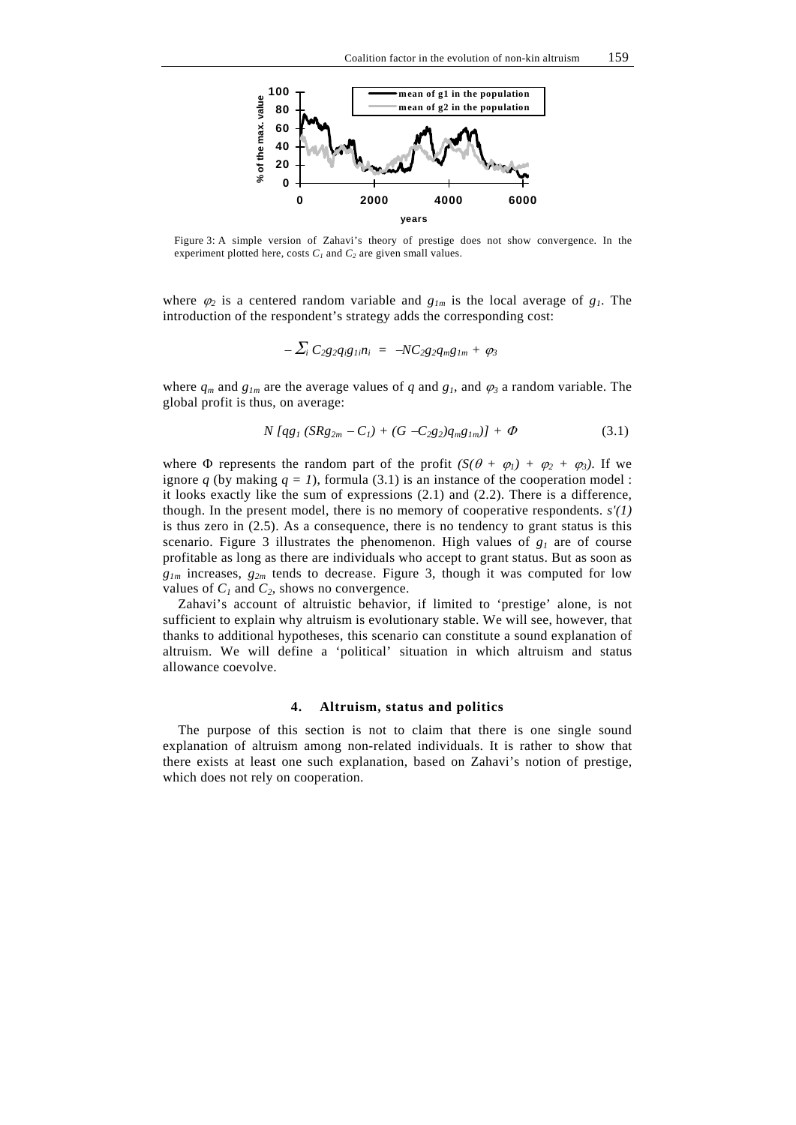

Figure 3: A simple version of Zahavi's theory of prestige does not show convergence. In the experiment plotted here, costs  $C_1$  and  $C_2$  are given small values.

where  $\varphi_2$  is a centered random variable and  $g_{lm}$  is the local average of  $g_l$ . The introduction of the respondent's strategy adds the corresponding cost:

$$
-\sum_{i} C_{2}g_{2}q_{i}g_{1i}n_{i} = -NC_{2}g_{2}q_{m}g_{1m} + \varphi_{3}
$$

where  $q_m$  and  $g_{lm}$  are the average values of  $q$  and  $g_l$ , and  $\varphi_3$  a random variable. The global profit is thus, on average:

$$
N [qg_1 (SRg_{2m} - C_1) + (G - C_2 g_2) q_m g_{1m} ] + \Phi
$$
\n(3.1)

where  $\Phi$  represents the random part of the profit  $(S(\theta + \varphi_1) + \varphi_2 + \varphi_3)$ . If we ignore *q* (by making  $q = 1$ ), formula (3.1) is an instance of the cooperation model : it looks exactly like the sum of expressions (2.1) and (2.2). There is a difference, though. In the present model, there is no memory of cooperative respondents. *s'(1)* is thus zero in (2.5). As a consequence, there is no tendency to grant status is this scenario. Figure 3 illustrates the phenomenon. High values of  $g<sub>l</sub>$  are of course profitable as long as there are individuals who accept to grant status. But as soon as *g1m* increases, *g2m* tends to decrease. Figure 3, though it was computed for low values of  $C_1$  and  $C_2$ , shows no convergence.

Zahavi's account of altruistic behavior, if limited to 'prestige' alone, is not sufficient to explain why altruism is evolutionary stable. We will see, however, that thanks to additional hypotheses, this scenario can constitute a sound explanation of altruism. We will define a 'political' situation in which altruism and status allowance coevolve.

#### **4. Altruism, status and politics**

The purpose of this section is not to claim that there is one single sound explanation of altruism among non-related individuals. It is rather to show that there exists at least one such explanation, based on Zahavi's notion of prestige, which does not rely on cooperation.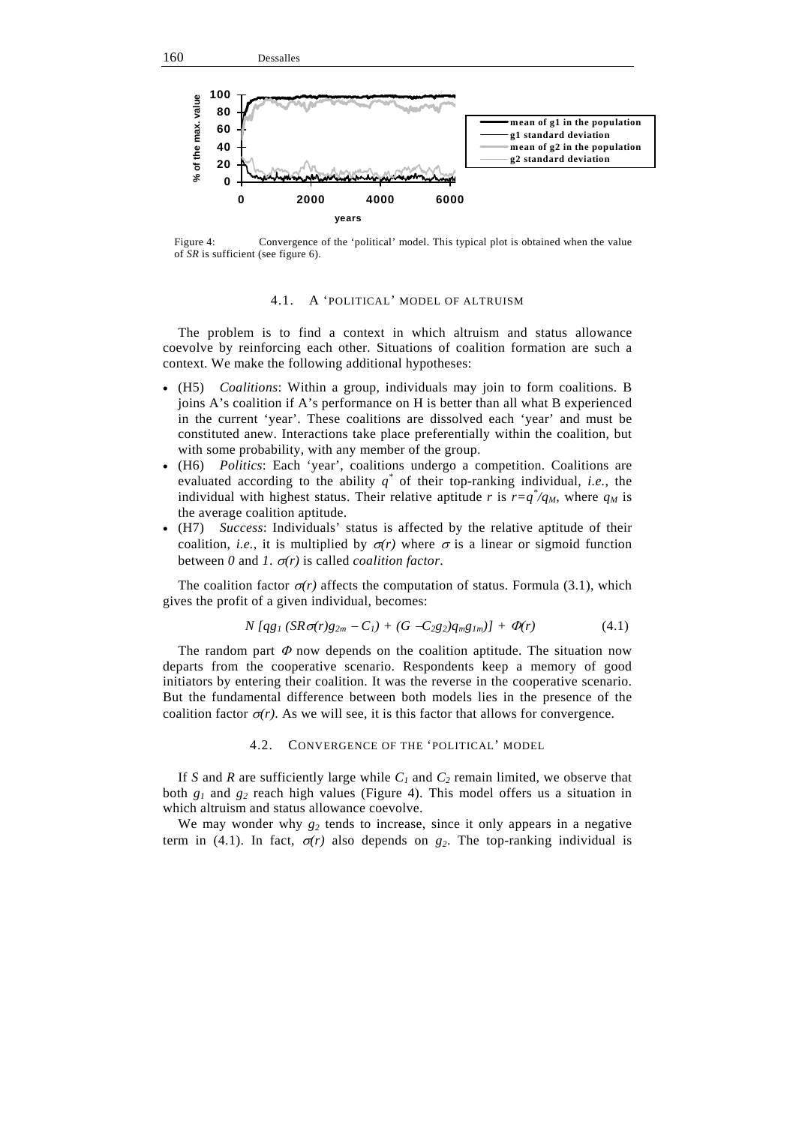

Figure 4: Convergence of the 'political' model. This typical plot is obtained when the value of *SR* is sufficient (see figure 6).

# 4.1. A 'POLITICAL' MODEL OF ALTRUISM

The problem is to find a context in which altruism and status allowance coevolve by reinforcing each other. Situations of coalition formation are such a context. We make the following additional hypotheses:

- (H5) *Coalitions*: Within a group, individuals may join to form coalitions. B joins A's coalition if A's performance on H is better than all what B experienced in the current 'year'. These coalitions are dissolved each 'year' and must be constituted anew. Interactions take place preferentially within the coalition, but with some probability, with any member of the group.
- (H6) *Politics*: Each 'year', coalitions undergo a competition. Coalitions are evaluated according to the ability  $q^*$  of their top-ranking individual, *i.e.*, the individual with highest status. Their relative aptitude *r* is  $r = q^* / q_M$ , where  $q_M$  is the average coalition aptitude.
- (H7) *Success*: Individuals' status is affected by the relative aptitude of their coalition, *i.e.*, it is multiplied by  $\sigma(r)$  where  $\sigma$  is a linear or sigmoid function between 0 and 1.  $\sigma(r)$  is called *coalition factor*.

The coalition factor  $\sigma(r)$  affects the computation of status. Formula (3.1), which gives the profit of a given individual, becomes:

$$
N [qg_1 (SR\sigma(r)g_{2m} - C_1) + (G - C_2 g_2)q_m g_{1m})] + \Phi(r)
$$
\n(4.1)

The random part  $\Phi$  now depends on the coalition aptitude. The situation now departs from the cooperative scenario. Respondents keep a memory of good initiators by entering their coalition. It was the reverse in the cooperative scenario. But the fundamental difference between both models lies in the presence of the coalition factor  $\sigma(r)$ . As we will see, it is this factor that allows for convergence.

## 4.2. CONVERGENCE OF THE 'POLITICAL' MODEL

If *S* and *R* are sufficiently large while  $C_1$  and  $C_2$  remain limited, we observe that both  $g_1$  and  $g_2$  reach high values (Figure 4). This model offers us a situation in which altruism and status allowance coevolve.

We may wonder why  $g_2$  tends to increase, since it only appears in a negative term in (4.1). In fact,  $\sigma(r)$  also depends on  $g_2$ . The top-ranking individual is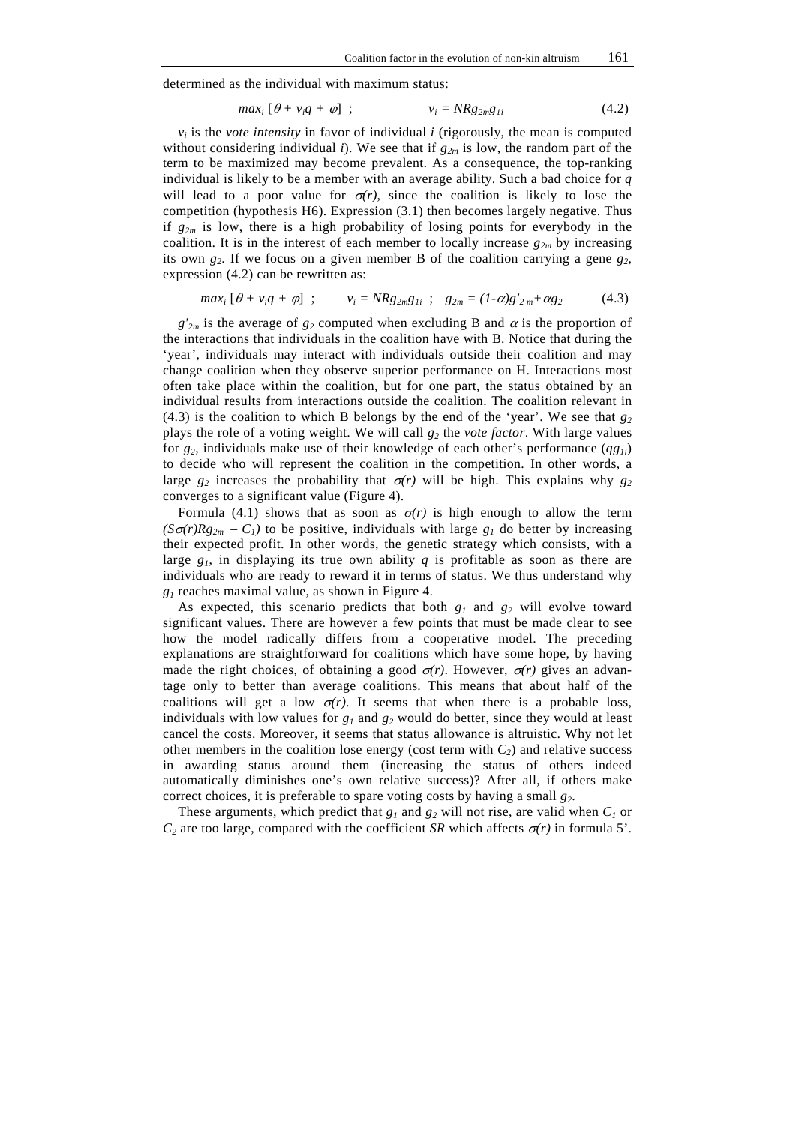determined as the individual with maximum status:

$$
max_i [\theta + v_i q + \varphi] ; \qquad v_i = NRg_{2m}g_{1i} \qquad (4.2)
$$

 $v_i$  is the *vote intensity* in favor of individual *i* (rigorously, the mean is computed without considering individual *i*). We see that if  $g_{2m}$  is low, the random part of the term to be maximized may become prevalent. As a consequence, the top-ranking individual is likely to be a member with an average ability. Such a bad choice for *q* will lead to a poor value for  $\sigma(r)$ , since the coalition is likely to lose the competition (hypothesis H6). Expression (3.1) then becomes largely negative. Thus if *g2m* is low, there is a high probability of losing points for everybody in the coalition. It is in the interest of each member to locally increase  $g_{2m}$  by increasing its own  $g_2$ . If we focus on a given member B of the coalition carrying a gene  $g_2$ , expression (4.2) can be rewritten as:

$$
max_i [\theta + v_i q + \varphi] ; \qquad v_i = NRg_{2m}g_{1i} ; \quad g_{2m} = (1-\alpha)g'_{2m} + \alpha g_2 \qquad (4.3)
$$

 $g'_{2m}$  is the average of  $g_2$  computed when excluding B and  $\alpha$  is the proportion of the interactions that individuals in the coalition have with B. Notice that during the 'year', individuals may interact with individuals outside their coalition and may change coalition when they observe superior performance on H. Interactions most often take place within the coalition, but for one part, the status obtained by an individual results from interactions outside the coalition. The coalition relevant in (4.3) is the coalition to which B belongs by the end of the 'year'. We see that *g2* plays the role of a voting weight. We will call  $g_2$  the *vote factor*. With large values for *g2*, individuals make use of their knowledge of each other's performance (*qg1i*) to decide who will represent the coalition in the competition. In other words, a large  $g_2$  increases the probability that  $\sigma(r)$  will be high. This explains why  $g_2$ converges to a significant value (Figure 4).

Formula (4.1) shows that as soon as  $\sigma(r)$  is high enough to allow the term  $(S\sigma(r)Rg_{2m} - C_1)$  to be positive, individuals with large  $g_1$  do better by increasing their expected profit. In other words, the genetic strategy which consists, with a large  $g_l$ , in displaying its true own ability  $q$  is profitable as soon as there are individuals who are ready to reward it in terms of status. We thus understand why *g1* reaches maximal value, as shown in Figure 4.

As expected, this scenario predicts that both  $g_1$  and  $g_2$  will evolve toward significant values. There are however a few points that must be made clear to see how the model radically differs from a cooperative model. The preceding explanations are straightforward for coalitions which have some hope, by having made the right choices, of obtaining a good  $\sigma(r)$ . However,  $\sigma(r)$  gives an advantage only to better than average coalitions. This means that about half of the coalitions will get a low  $\sigma(r)$ . It seems that when there is a probable loss, individuals with low values for  $g_1$  and  $g_2$  would do better, since they would at least cancel the costs. Moreover, it seems that status allowance is altruistic. Why not let other members in the coalition lose energy (cost term with  $C_2$ ) and relative success in awarding status around them (increasing the status of others indeed automatically diminishes one's own relative success)? After all, if others make correct choices, it is preferable to spare voting costs by having a small *g2*.

These arguments, which predict that  $g_1$  and  $g_2$  will not rise, are valid when  $C_1$  or  $C_2$  are too large, compared with the coefficient *SR* which affects  $\sigma(r)$  in formula 5'.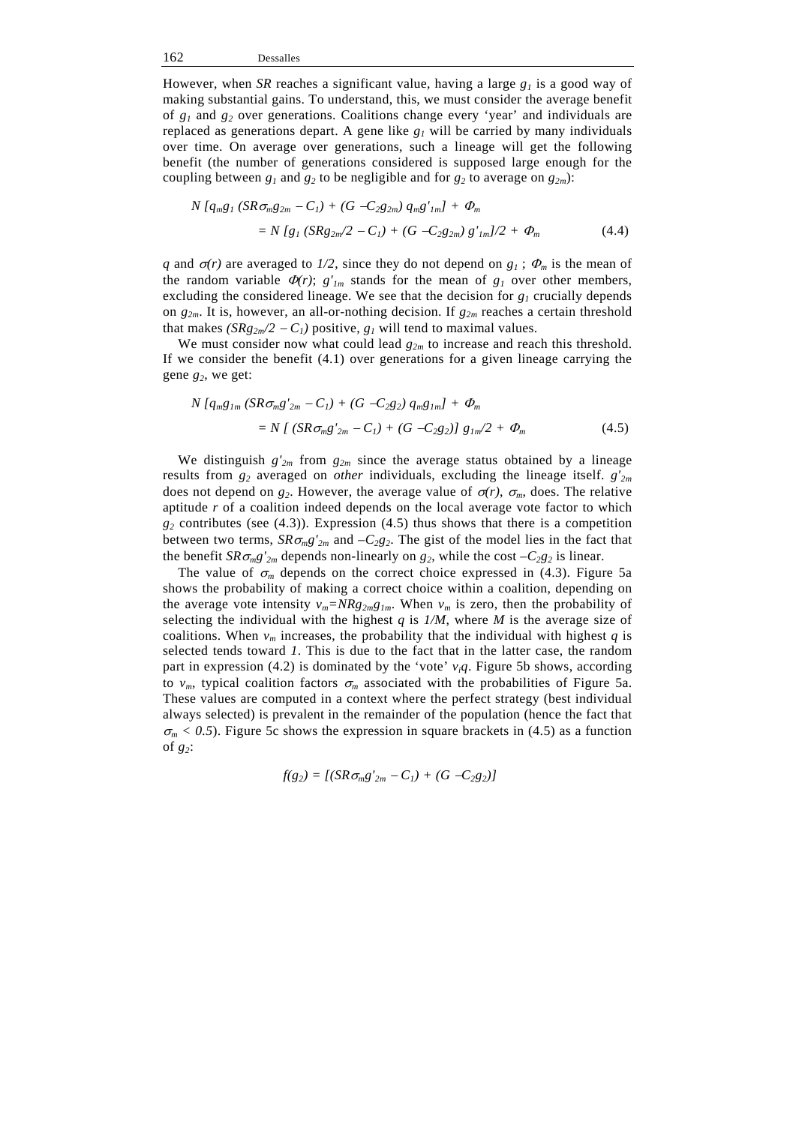However, when *SR* reaches a significant value, having a large  $g<sub>l</sub>$  is a good way of making substantial gains. To understand, this, we must consider the average benefit of  $g_1$  and  $g_2$  over generations. Coalitions change every 'year' and individuals are replaced as generations depart. A gene like  $g_l$  will be carried by many individuals over time. On average over generations, such a lineage will get the following benefit (the number of generations considered is supposed large enough for the coupling between  $g_1$  and  $g_2$  to be negligible and for  $g_2$  to average on  $g_{2m}$ ):

$$
N [q_m g_1 (SR \sigma_m g_{2m} - C_1) + (G - C_2 g_{2m}) q_m g'_{1m} ] + \Phi_m
$$
  
= 
$$
N [g_1 (SR g_{2m} / 2 - C_1) + (G - C_2 g_{2m}) g'_{1m} ] / 2 + \Phi_m
$$
 (4.4)

*q* and  $\sigma(r)$  are averaged to *1/2*, since they do not depend on  $g_1$ ;  $\Phi_m$  is the mean of the random variable  $\Phi(r)$ ;  $g'_{lm}$  stands for the mean of  $g_l$  over other members, excluding the considered lineage. We see that the decision for  $g_1$  crucially depends on *g2m*. It is, however, an all-or-nothing decision. If *g2m* reaches a certain threshold that makes  $(SRg_{2m}/2 - C_1)$  positive,  $g_1$  will tend to maximal values.

We must consider now what could lead  $g_{2m}$  to increase and reach this threshold. If we consider the benefit (4.1) over generations for a given lineage carrying the gene  $g_2$ , we get:

$$
N [q_{m}g_{lm} (SR \sigma_{m} g'_{2m} - C_I) + (G - C_2 g_2) q_{m}g_{lm} ] + \Phi_m
$$
  
=  $N [ (SR \sigma_{m} g'_{2m} - C_I) + (G - C_2 g_2) ] g_{lm} / 2 + \Phi_m$  (4.5)

We distinguish  $g'_{2m}$  from  $g_{2m}$  since the average status obtained by a lineage results from  $g_2$  averaged on *other* individuals, excluding the lineage itself.  $g'_{2m}$ does not depend on  $g_2$ . However, the average value of  $\sigma(r)$ ,  $\sigma_m$ , does. The relative aptitude *r* of a coalition indeed depends on the local average vote factor to which  $g_2$  contributes (see (4.3)). Expression (4.5) thus shows that there is a competition between two terms,  $SR\sigma_{mg'}_{2m}$  and  $-C_2g_2$ . The gist of the model lies in the fact that the benefit  $SR\sigma_{mg}^{\prime}{}_{2m}$  depends non-linearly on  $g_2$ , while the cost  $-C_2g_2$  is linear.

The value of  $\sigma_m$  depends on the correct choice expressed in (4.3). Figure 5a shows the probability of making a correct choice within a coalition, depending on the average vote intensity  $v_m = NRg_{2m}g_{1m}$ . When  $v_m$  is zero, then the probability of selecting the individual with the highest  $q$  is  $1/M$ , where  $M$  is the average size of coalitions. When  $v_m$  increases, the probability that the individual with highest  $q$  is selected tends toward *1*. This is due to the fact that in the latter case, the random part in expression (4.2) is dominated by the 'vote'  $v_i q$ . Figure 5b shows, according to  $v_m$ , typical coalition factors  $\sigma_m$  associated with the probabilities of Figure 5a. These values are computed in a context where the perfect strategy (best individual always selected) is prevalent in the remainder of the population (hence the fact that  $\sigma_m < 0.5$ ). Figure 5c shows the expression in square brackets in (4.5) as a function of *g2*:

$$
f(g_2) = [(SR\sigma_m g'_{2m} - C_1) + (G - C_2 g_2)]
$$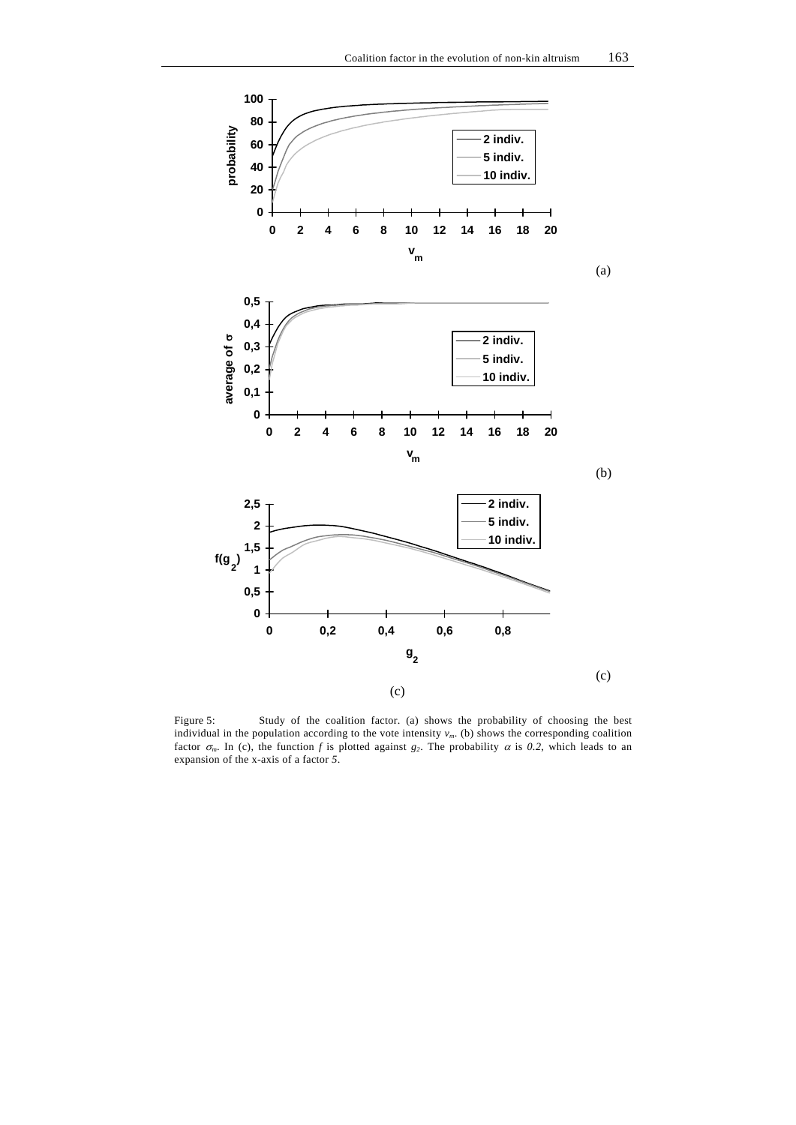

Figure 5: Study of the coalition factor. (a) shows the probability of choosing the best individual in the population according to the vote intensity *vm*. (b) shows the corresponding coalition factor  $\sigma_m$ . In (c), the function *f* is plotted against *g*<sub>2</sub>. The probability  $\alpha$  is 0.2, which leads to an expansion of the x-axis of a factor *5*.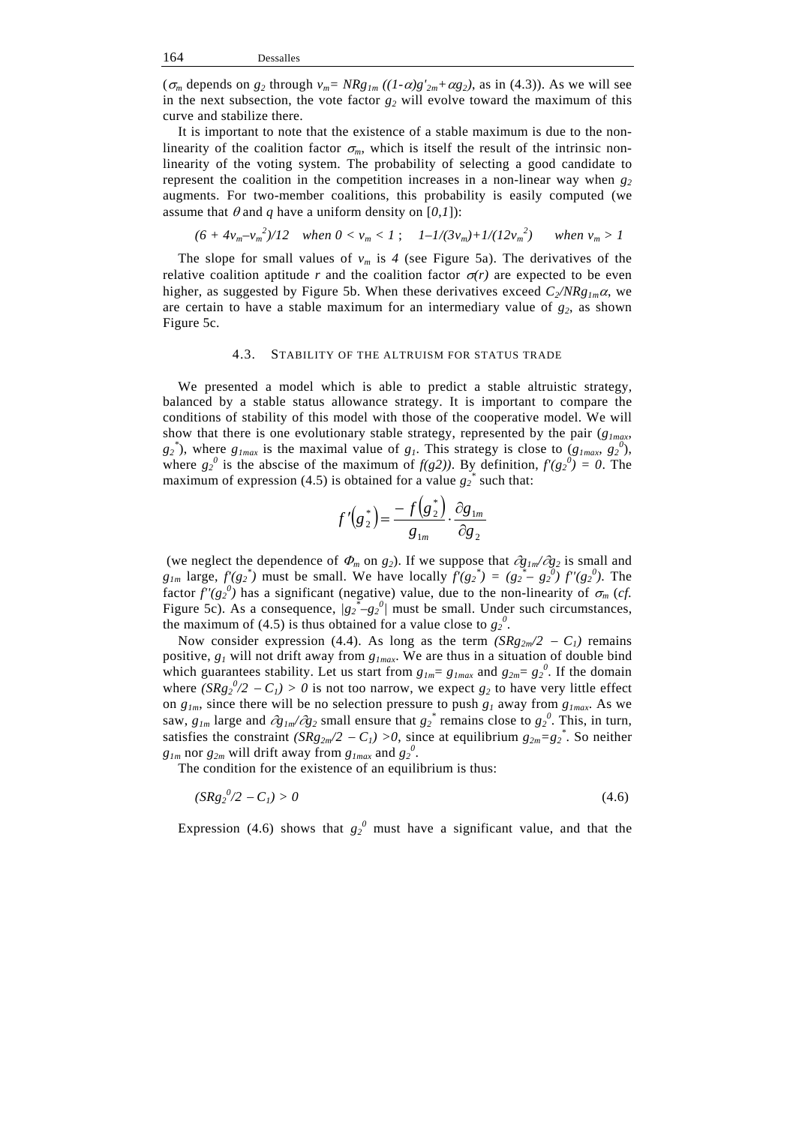( $\sigma_m$  depends on  $g_2$  through  $v_m = NRg_{lm}$  (( $1-\alpha$ )g'<sub>2m</sub>+ $\alpha$ g<sub>2</sub>), as in (4.3)). As we will see in the next subsection, the vote factor  $g_2$  will evolve toward the maximum of this curve and stabilize there.

It is important to note that the existence of a stable maximum is due to the nonlinearity of the coalition factor  $\sigma_m$ , which is itself the result of the intrinsic nonlinearity of the voting system. The probability of selecting a good candidate to represent the coalition in the competition increases in a non-linear way when  $g_2$ augments. For two-member coalitions, this probability is easily computed (we assume that  $\theta$  and  $q$  have a uniform density on  $[0,1]$ ):

$$
(6 + 4v_m - v_m^2)/12
$$
 when  $0 < v_m < 1$ ;  $1 - 1/(3v_m) + 1/(12v_m^2)$  when  $v_m > 1$ 

The slope for small values of  $v_m$  is 4 (see Figure 5a). The derivatives of the relative coalition aptitude *r* and the coalition factor  $\sigma(r)$  are expected to be even higher, as suggested by Figure 5b. When these derivatives exceed  $C_2/NRg_{lm}\alpha$ , we are certain to have a stable maximum for an intermediary value of  $g_2$ , as shown Figure 5c.

#### 4.3. STABILITY OF THE ALTRUISM FOR STATUS TRADE

We presented a model which is able to predict a stable altruistic strategy, balanced by a stable status allowance strategy. It is important to compare the conditions of stability of this model with those of the cooperative model. We will show that there is one evolutionary stable strategy, represented by the pair (*g1max*,  $g_2^*$ ), where  $g_{1max}$  is the maximal value of  $g_1$ . This strategy is close to  $(g_{1max}, g_2^0)$ , where  $g_2^0$  is the abscise of the maximum of  $f(g2)$ ). By definition,  $f'(g_2^0) = 0$ . The maximum of expression (4.5) is obtained for a value  $g_2^*$  such that:

$$
f'(g_2^*) = \frac{-f(g_2^*)}{g_{1m}} \cdot \frac{\partial g_{1m}}{\partial g_2}
$$

(we neglect the dependence of  $\Phi_m$  on  $g_2$ ). If we suppose that  $\partial g_{1m}/\partial g_2$  is small and *g<sub>1m</sub>* large,  $f'(g_2^*)$  must be small. We have locally  $f'(g_2^*) = (g_2^* - g_2^0) f''(g_2^0)$ . The factor  $f''(g_2^0)$  has a significant (negative) value, due to the non-linearity of  $\sigma_m$  (*cf.* Figure 5c). As a consequence,  $/g_2 \stackrel{*}{\rightarrow} g_2^0$  must be small. Under such circumstances, the maximum of (4.5) is thus obtained for a value close to  $g_2^0$ .

Now consider expression (4.4). As long as the term  $(SRg_{2m}/2 - C_1)$  remains positive, *g1* will not drift away from *g1max*. We are thus in a situation of double bind which guarantees stability. Let us start from  $g_{lm} = g_{lmax}$  and  $g_{2m} = g_2^0$ . If the domain where  $(SRg_2^0/2 - C_1) > 0$  is not too narrow, we expect  $g_2$  to have very little effect on  $g_{lm}$ , since there will be no selection pressure to push  $g_l$  away from  $g_{lmax}$ . As we saw,  $g_{lm}$  large and  $\partial g_{lm}/\partial g_2$  small ensure that  $g_2^*$  remains close to  $g_2^0$ . This, in turn, satisfies the constraint  $(SRg_{2m}/2 - C_1) > 0$ , since at equilibrium  $g_{2m} = g_2^*$ . So neither  $g_{lm}$  nor  $g_{2m}$  will drift away from  $g_{lmax}$  and  $g_2^0$ .

The condition for the existence of an equilibrium is thus:

$$
(SRg_2^0/2 - C_1) > 0 \tag{4.6}
$$

Expression (4.6) shows that  $g_2^0$  must have a significant value, and that the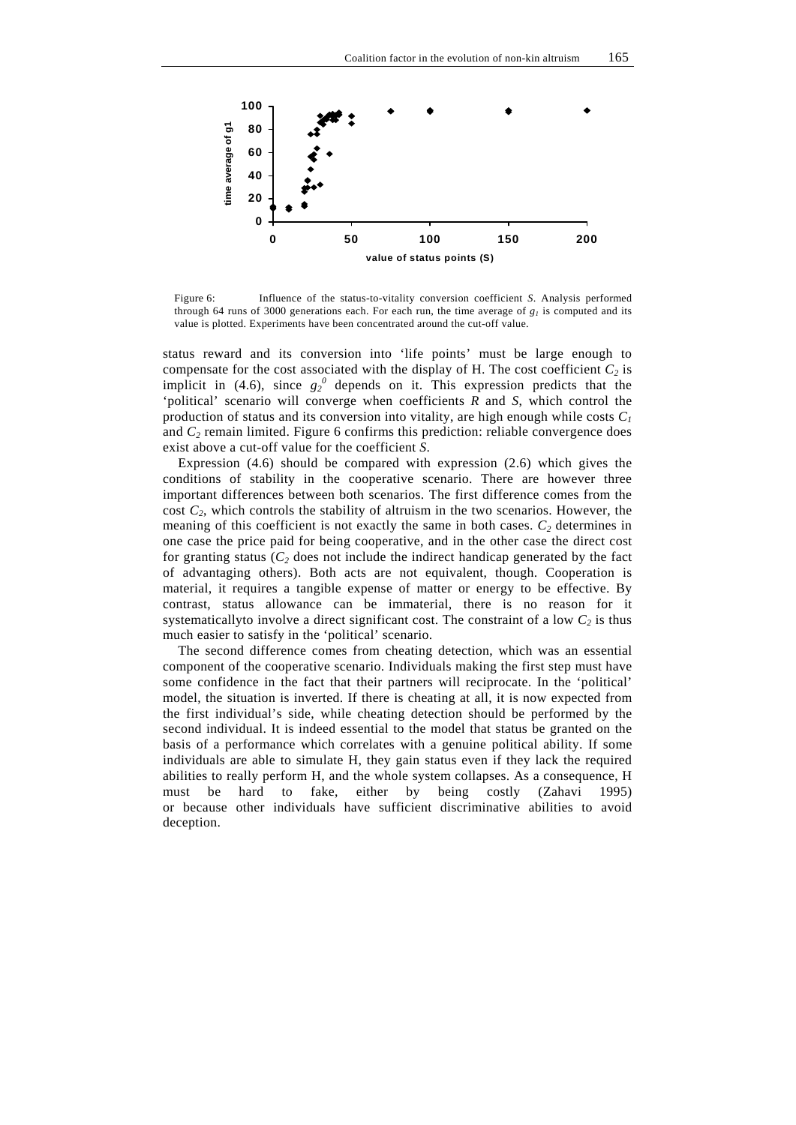

Figure 6: Influence of the status-to-vitality conversion coefficient *S*. Analysis performed through 64 runs of 3000 generations each. For each run, the time average of  $g_l$  is computed and its value is plotted. Experiments have been concentrated around the cut-off value.

status reward and its conversion into 'life points' must be large enough to compensate for the cost associated with the display of H. The cost coefficient  $C_2$  is implicit in (4.6), since  $g_2^0$  depends on it. This expression predicts that the 'political' scenario will converge when coefficients *R* and *S*, which control the production of status and its conversion into vitality, are high enough while costs  $C_1$ and *C2* remain limited. Figure 6 confirms this prediction: reliable convergence does exist above a cut-off value for the coefficient *S*.

Expression (4.6) should be compared with expression (2.6) which gives the conditions of stability in the cooperative scenario. There are however three important differences between both scenarios. The first difference comes from the cost  $C_2$ , which controls the stability of altruism in the two scenarios. However, the meaning of this coefficient is not exactly the same in both cases.  $C_2$  determines in one case the price paid for being cooperative, and in the other case the direct cost for granting status  $(C_2$  does not include the indirect handicap generated by the fact of advantaging others). Both acts are not equivalent, though. Cooperation is material, it requires a tangible expense of matter or energy to be effective. By contrast, status allowance can be immaterial, there is no reason for it systematicallyto involve a direct significant cost. The constraint of a low  $C_2$  is thus much easier to satisfy in the 'political' scenario.

The second difference comes from cheating detection, which was an essential component of the cooperative scenario. Individuals making the first step must have some confidence in the fact that their partners will reciprocate. In the 'political' model, the situation is inverted. If there is cheating at all, it is now expected from the first individual's side, while cheating detection should be performed by the second individual. It is indeed essential to the model that status be granted on the basis of a performance which correlates with a genuine political ability. If some individuals are able to simulate H, they gain status even if they lack the required abilities to really perform H, and the whole system collapses. As a consequence, H must be hard to fake, either by being costly (Zahavi 1995) or because other individuals have sufficient discriminative abilities to avoid deception.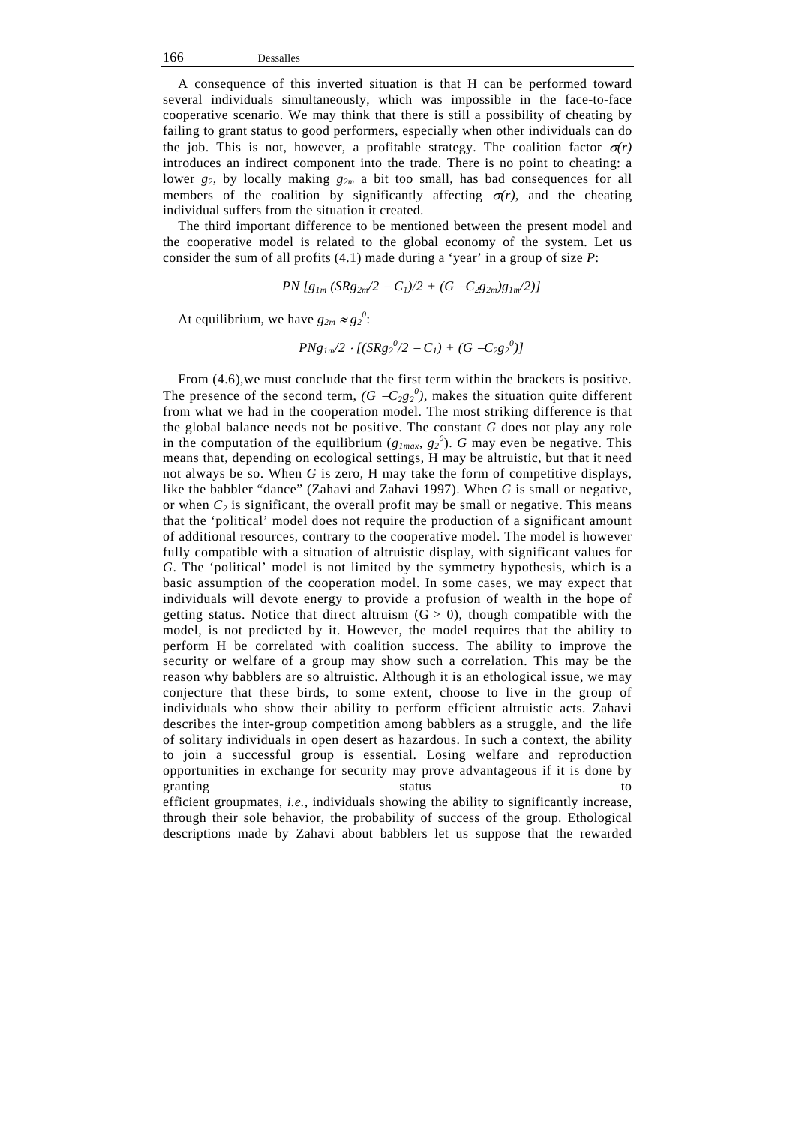A consequence of this inverted situation is that H can be performed toward several individuals simultaneously, which was impossible in the face-to-face cooperative scenario. We may think that there is still a possibility of cheating by failing to grant status to good performers, especially when other individuals can do the job. This is not, however, a profitable strategy. The coalition factor  $\sigma(r)$ introduces an indirect component into the trade. There is no point to cheating: a lower  $g_2$ , by locally making  $g_{2m}$  a bit too small, has bad consequences for all members of the coalition by significantly affecting  $\sigma(r)$ , and the cheating individual suffers from the situation it created.

The third important difference to be mentioned between the present model and the cooperative model is related to the global economy of the system. Let us consider the sum of all profits (4.1) made during a 'year' in a group of size *P*:

*PN*  $[g_{lm} (SRg_{2m}/2 - C_l)/2 + (G - C_2g_{2m})g_{lm}/2]$ 

At equilibrium, we have  $g_{2m} \approx g_2^0$ :

$$
PNg_{1m}/2 \cdot [(SRg_2^{0}/2 - C_1) + (G - C_2g_2^{0})]
$$

From (4.6),we must conclude that the first term within the brackets is positive. The presence of the second term,  $(G -C_2g_2^0)$ , makes the situation quite different from what we had in the cooperation model. The most striking difference is that the global balance needs not be positive. The constant *G* does not play any role in the computation of the equilibrium  $(g_{1max}, g_2^0)$ . *G* may even be negative. This means that, depending on ecological settings, H may be altruistic, but that it need not always be so. When *G* is zero, H may take the form of competitive displays, like the babbler "dance" (Zahavi and Zahavi 1997). When *G* is small or negative, or when  $C_2$  is significant, the overall profit may be small or negative. This means that the 'political' model does not require the production of a significant amount of additional resources, contrary to the cooperative model. The model is however fully compatible with a situation of altruistic display, with significant values for *G*. The 'political' model is not limited by the symmetry hypothesis, which is a basic assumption of the cooperation model. In some cases, we may expect that individuals will devote energy to provide a profusion of wealth in the hope of getting status. Notice that direct altruism  $(G > 0)$ , though compatible with the model, is not predicted by it. However, the model requires that the ability to perform H be correlated with coalition success. The ability to improve the security or welfare of a group may show such a correlation. This may be the reason why babblers are so altruistic. Although it is an ethological issue, we may conjecture that these birds, to some extent, choose to live in the group of individuals who show their ability to perform efficient altruistic acts. Zahavi describes the inter-group competition among babblers as a struggle, and the life of solitary individuals in open desert as hazardous. In such a context, the ability to join a successful group is essential. Losing welfare and reproduction opportunities in exchange for security may prove advantageous if it is done by granting to the status status to the status to the status to the status of the status of the status of the status of the status of the status of the status of the status of the status of the status of the status of the sta efficient groupmates, *i.e.*, individuals showing the ability to significantly increase,

through their sole behavior, the probability of success of the group. Ethological descriptions made by Zahavi about babblers let us suppose that the rewarded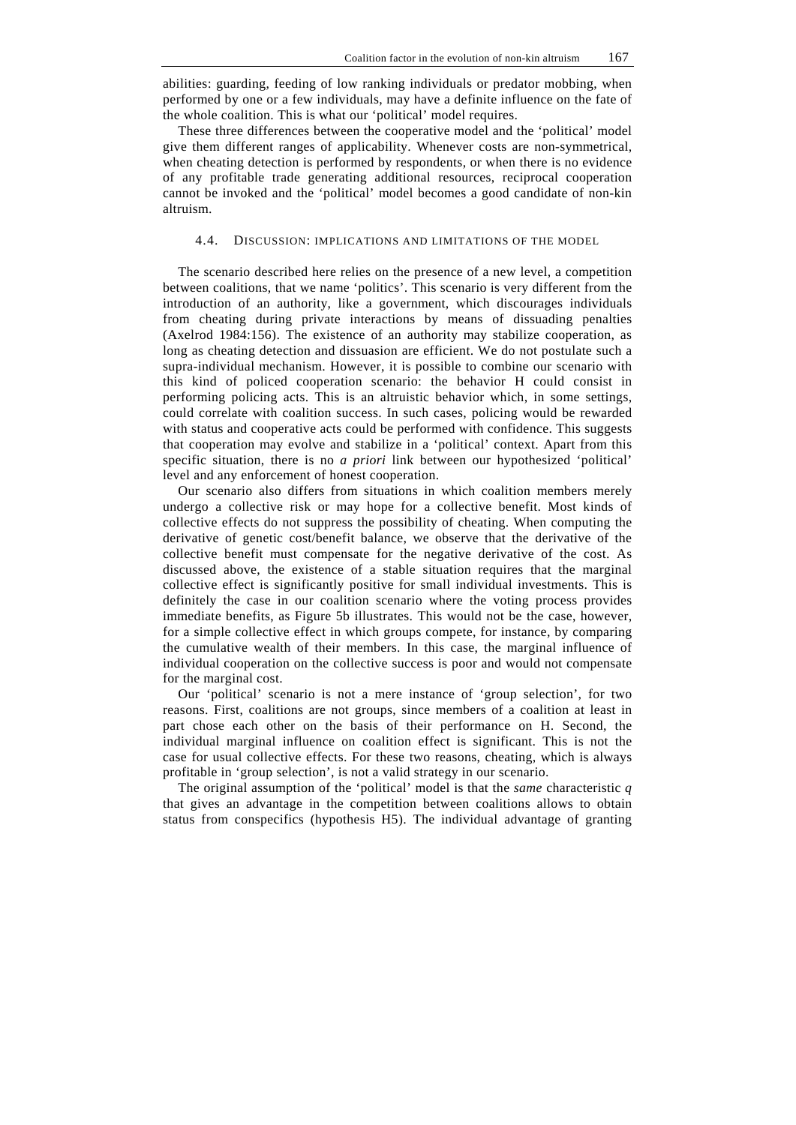abilities: guarding, feeding of low ranking individuals or predator mobbing, when performed by one or a few individuals, may have a definite influence on the fate of the whole coalition. This is what our 'political' model requires.

These three differences between the cooperative model and the 'political' model give them different ranges of applicability. Whenever costs are non-symmetrical, when cheating detection is performed by respondents, or when there is no evidence of any profitable trade generating additional resources, reciprocal cooperation cannot be invoked and the 'political' model becomes a good candidate of non-kin altruism.

# 4.4. DISCUSSION: IMPLICATIONS AND LIMITATIONS OF THE MODEL

The scenario described here relies on the presence of a new level, a competition between coalitions, that we name 'politics'. This scenario is very different from the introduction of an authority, like a government, which discourages individuals from cheating during private interactions by means of dissuading penalties (Axelrod 1984:156). The existence of an authority may stabilize cooperation, as long as cheating detection and dissuasion are efficient. We do not postulate such a supra-individual mechanism. However, it is possible to combine our scenario with this kind of policed cooperation scenario: the behavior H could consist in performing policing acts. This is an altruistic behavior which, in some settings, could correlate with coalition success. In such cases, policing would be rewarded with status and cooperative acts could be performed with confidence. This suggests that cooperation may evolve and stabilize in a 'political' context. Apart from this specific situation, there is no *a priori* link between our hypothesized 'political' level and any enforcement of honest cooperation.

Our scenario also differs from situations in which coalition members merely undergo a collective risk or may hope for a collective benefit. Most kinds of collective effects do not suppress the possibility of cheating. When computing the derivative of genetic cost/benefit balance, we observe that the derivative of the collective benefit must compensate for the negative derivative of the cost. As discussed above, the existence of a stable situation requires that the marginal collective effect is significantly positive for small individual investments. This is definitely the case in our coalition scenario where the voting process provides immediate benefits, as Figure 5b illustrates. This would not be the case, however, for a simple collective effect in which groups compete, for instance, by comparing the cumulative wealth of their members. In this case, the marginal influence of individual cooperation on the collective success is poor and would not compensate for the marginal cost.

Our 'political' scenario is not a mere instance of 'group selection', for two reasons. First, coalitions are not groups, since members of a coalition at least in part chose each other on the basis of their performance on H. Second, the individual marginal influence on coalition effect is significant. This is not the case for usual collective effects. For these two reasons, cheating, which is always profitable in 'group selection', is not a valid strategy in our scenario.

The original assumption of the 'political' model is that the *same* characteristic *q* that gives an advantage in the competition between coalitions allows to obtain status from conspecifics (hypothesis H5). The individual advantage of granting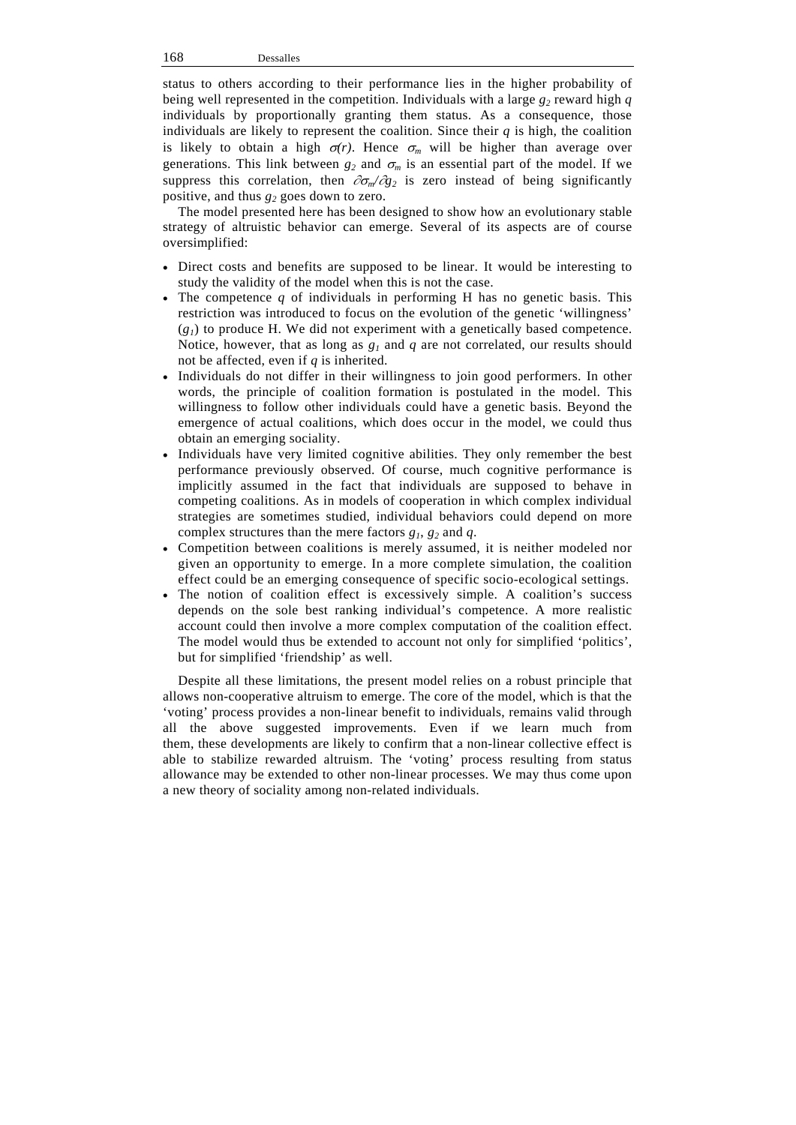status to others according to their performance lies in the higher probability of being well represented in the competition. Individuals with a large  $g_2$  reward high  $q$ individuals by proportionally granting them status. As a consequence, those individuals are likely to represent the coalition. Since their *q* is high, the coalition is likely to obtain a high  $\sigma(r)$ . Hence  $\sigma_m$  will be higher than average over generations. This link between  $g_2$  and  $\sigma_m$  is an essential part of the model. If we suppress this correlation, then  $\partial \sigma_m / \partial g_2$  is zero instead of being significantly positive, and thus *g2* goes down to zero.

The model presented here has been designed to show how an evolutionary stable strategy of altruistic behavior can emerge. Several of its aspects are of course oversimplified:

- Direct costs and benefits are supposed to be linear. It would be interesting to study the validity of the model when this is not the case.
- The competence *q* of individuals in performing H has no genetic basis. This restriction was introduced to focus on the evolution of the genetic 'willingness'  $(g<sub>1</sub>)$  to produce H. We did not experiment with a genetically based competence. Notice, however, that as long as  $g_1$  and  $q$  are not correlated, our results should not be affected, even if *q* is inherited.
- Individuals do not differ in their willingness to join good performers. In other words, the principle of coalition formation is postulated in the model. This willingness to follow other individuals could have a genetic basis. Beyond the emergence of actual coalitions, which does occur in the model, we could thus obtain an emerging sociality.
- Individuals have very limited cognitive abilities. They only remember the best performance previously observed. Of course, much cognitive performance is implicitly assumed in the fact that individuals are supposed to behave in competing coalitions. As in models of cooperation in which complex individual strategies are sometimes studied, individual behaviors could depend on more complex structures than the mere factors  $g_1$ ,  $g_2$  and  $q$ .
- Competition between coalitions is merely assumed, it is neither modeled nor given an opportunity to emerge. In a more complete simulation, the coalition effect could be an emerging consequence of specific socio-ecological settings.
- The notion of coalition effect is excessively simple. A coalition's success depends on the sole best ranking individual's competence. A more realistic account could then involve a more complex computation of the coalition effect. The model would thus be extended to account not only for simplified 'politics', but for simplified 'friendship' as well.

Despite all these limitations, the present model relies on a robust principle that allows non-cooperative altruism to emerge. The core of the model, which is that the 'voting' process provides a non-linear benefit to individuals, remains valid through all the above suggested improvements. Even if we learn much from them, these developments are likely to confirm that a non-linear collective effect is able to stabilize rewarded altruism. The 'voting' process resulting from status allowance may be extended to other non-linear processes. We may thus come upon a new theory of sociality among non-related individuals.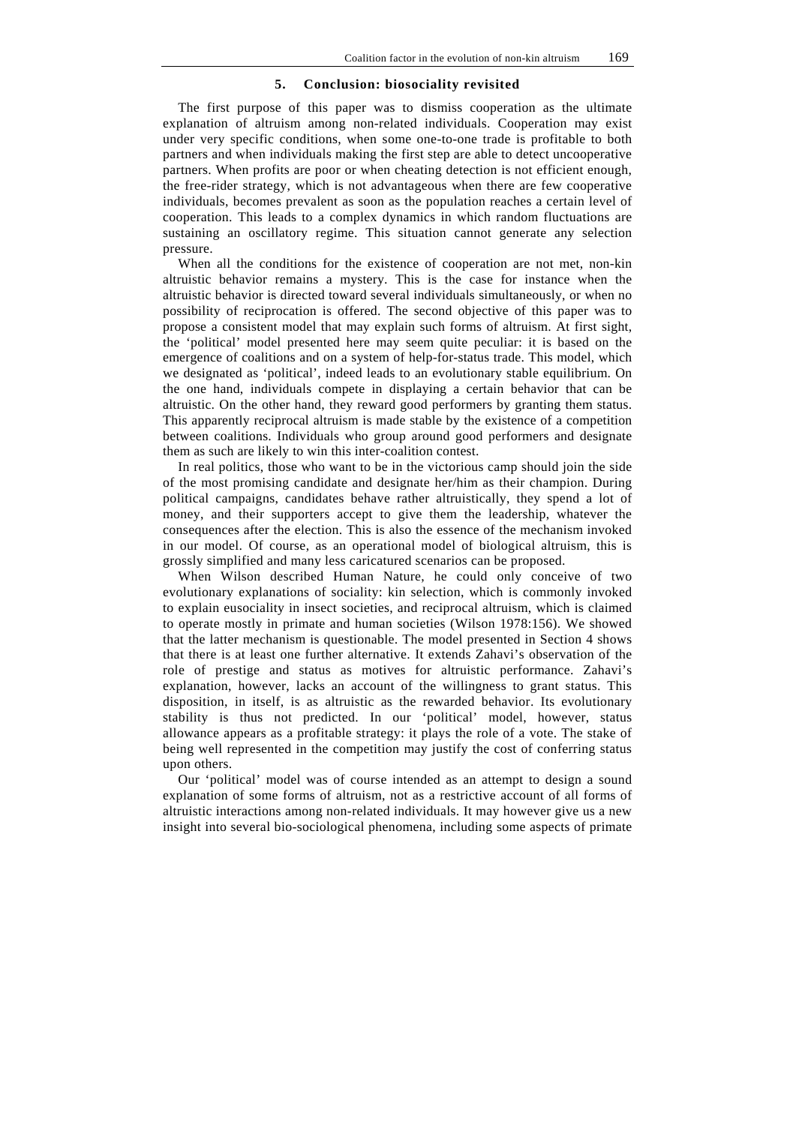# **5. Conclusion: biosociality revisited**

The first purpose of this paper was to dismiss cooperation as the ultimate explanation of altruism among non-related individuals. Cooperation may exist under very specific conditions, when some one-to-one trade is profitable to both partners and when individuals making the first step are able to detect uncooperative partners. When profits are poor or when cheating detection is not efficient enough, the free-rider strategy, which is not advantageous when there are few cooperative individuals, becomes prevalent as soon as the population reaches a certain level of cooperation. This leads to a complex dynamics in which random fluctuations are sustaining an oscillatory regime. This situation cannot generate any selection pressure.

When all the conditions for the existence of cooperation are not met, non-kin altruistic behavior remains a mystery. This is the case for instance when the altruistic behavior is directed toward several individuals simultaneously, or when no possibility of reciprocation is offered. The second objective of this paper was to propose a consistent model that may explain such forms of altruism. At first sight, the 'political' model presented here may seem quite peculiar: it is based on the emergence of coalitions and on a system of help-for-status trade. This model, which we designated as 'political', indeed leads to an evolutionary stable equilibrium. On the one hand, individuals compete in displaying a certain behavior that can be altruistic. On the other hand, they reward good performers by granting them status. This apparently reciprocal altruism is made stable by the existence of a competition between coalitions. Individuals who group around good performers and designate them as such are likely to win this inter-coalition contest.

In real politics, those who want to be in the victorious camp should join the side of the most promising candidate and designate her/him as their champion. During political campaigns, candidates behave rather altruistically, they spend a lot of money, and their supporters accept to give them the leadership, whatever the consequences after the election. This is also the essence of the mechanism invoked in our model. Of course, as an operational model of biological altruism, this is grossly simplified and many less caricatured scenarios can be proposed.

When Wilson described Human Nature, he could only conceive of two evolutionary explanations of sociality: kin selection, which is commonly invoked to explain eusociality in insect societies, and reciprocal altruism, which is claimed to operate mostly in primate and human societies (Wilson 1978:156). We showed that the latter mechanism is questionable. The model presented in Section 4 shows that there is at least one further alternative. It extends Zahavi's observation of the role of prestige and status as motives for altruistic performance. Zahavi's explanation, however, lacks an account of the willingness to grant status. This disposition, in itself, is as altruistic as the rewarded behavior. Its evolutionary stability is thus not predicted. In our 'political' model, however, status allowance appears as a profitable strategy: it plays the role of a vote. The stake of being well represented in the competition may justify the cost of conferring status upon others.

Our 'political' model was of course intended as an attempt to design a sound explanation of some forms of altruism, not as a restrictive account of all forms of altruistic interactions among non-related individuals. It may however give us a new insight into several bio-sociological phenomena, including some aspects of primate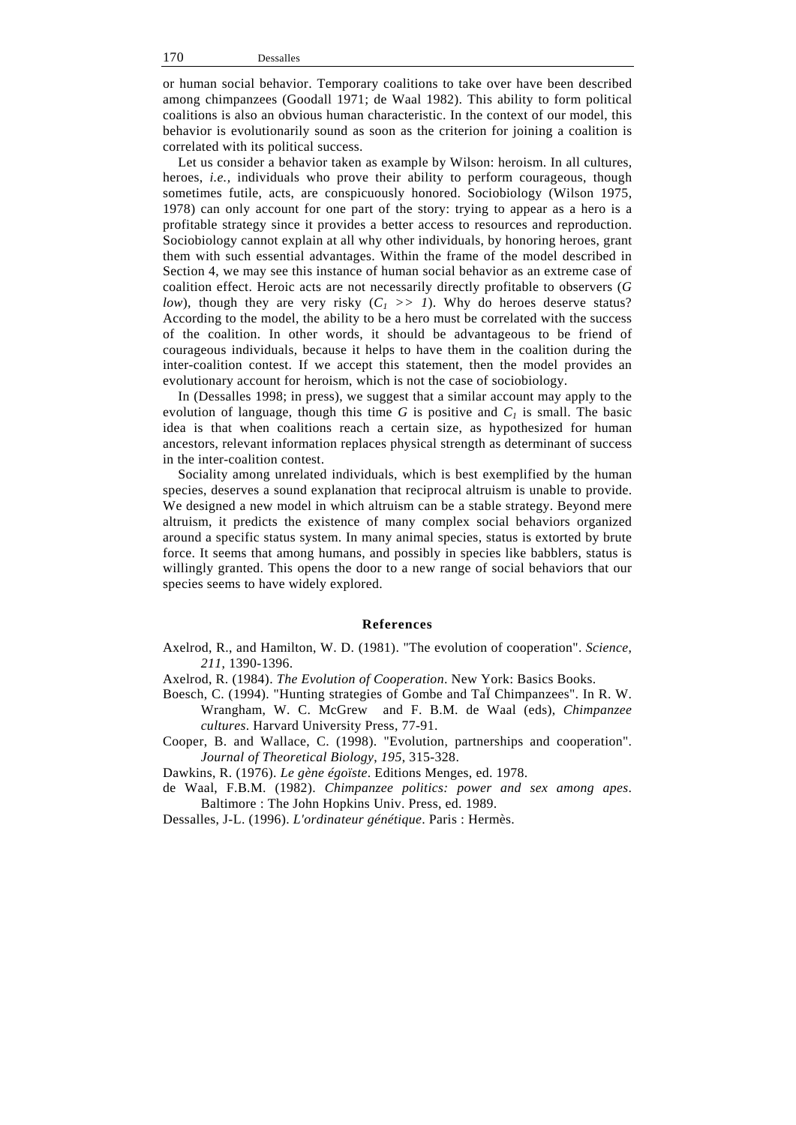or human social behavior. Temporary coalitions to take over have been described among chimpanzees (Goodall 1971; de Waal 1982). This ability to form political coalitions is also an obvious human characteristic. In the context of our model, this behavior is evolutionarily sound as soon as the criterion for joining a coalition is correlated with its political success.

Let us consider a behavior taken as example by Wilson: heroism. In all cultures, heroes, *i.e.,* individuals who prove their ability to perform courageous, though sometimes futile, acts, are conspicuously honored. Sociobiology (Wilson 1975, 1978) can only account for one part of the story: trying to appear as a hero is a profitable strategy since it provides a better access to resources and reproduction. Sociobiology cannot explain at all why other individuals, by honoring heroes, grant them with such essential advantages. Within the frame of the model described in Section 4, we may see this instance of human social behavior as an extreme case of coalition effect. Heroic acts are not necessarily directly profitable to observers (*G low*), though they are very risky  $(C_1 >> 1)$ . Why do heroes deserve status? According to the model, the ability to be a hero must be correlated with the success of the coalition. In other words, it should be advantageous to be friend of courageous individuals, because it helps to have them in the coalition during the inter-coalition contest. If we accept this statement, then the model provides an evolutionary account for heroism, which is not the case of sociobiology.

In (Dessalles 1998; in press), we suggest that a similar account may apply to the evolution of language, though this time  $G$  is positive and  $C<sub>l</sub>$  is small. The basic idea is that when coalitions reach a certain size, as hypothesized for human ancestors, relevant information replaces physical strength as determinant of success in the inter-coalition contest.

Sociality among unrelated individuals, which is best exemplified by the human species, deserves a sound explanation that reciprocal altruism is unable to provide. We designed a new model in which altruism can be a stable strategy. Beyond mere altruism, it predicts the existence of many complex social behaviors organized around a specific status system. In many animal species, status is extorted by brute force. It seems that among humans, and possibly in species like babblers, status is willingly granted. This opens the door to a new range of social behaviors that our species seems to have widely explored.

#### **References**

Axelrod, R., and Hamilton, W. D. (1981). "The evolution of cooperation". *Science*, *211*, 1390-1396.

Axelrod, R. (1984). *The Evolution of Cooperation*. New York: Basics Books.

- Boesch, C. (1994). "Hunting strategies of Gombe and TaÏ Chimpanzees". In R. W. Wrangham, W. C. McGrew and F. B.M. de Waal (eds), *Chimpanzee cultures*. Harvard University Press, 77-91.
- Cooper, B. and Wallace, C. (1998). "Evolution, partnerships and cooperation". *Journal of Theoretical Biology*, *195*, 315-328.

Dawkins, R. (1976). *Le gène égoïste*. Editions Menges, ed. 1978.

de Waal, F.B.M. (1982). *Chimpanzee politics: power and sex among apes*. Baltimore : The John Hopkins Univ. Press, ed. 1989.

Dessalles, J-L. (1996). *L'ordinateur génétique*. Paris : Hermès.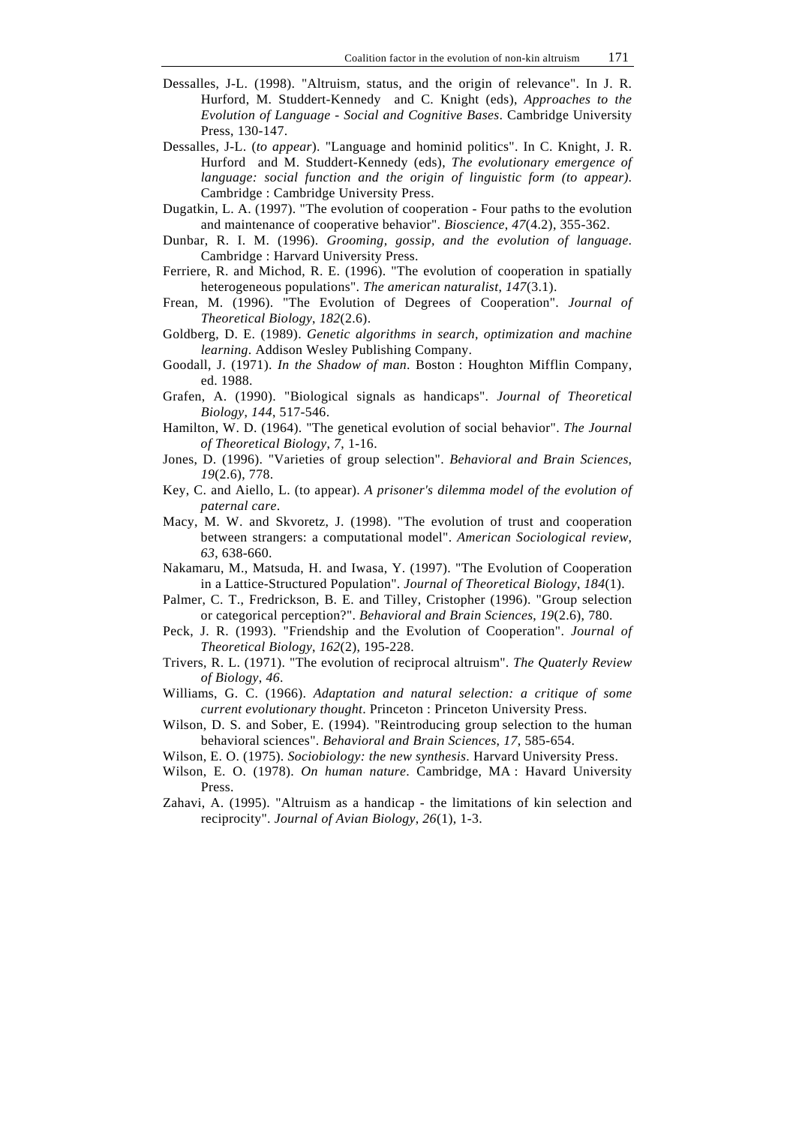- Dessalles, J-L. (1998). "Altruism, status, and the origin of relevance". In J. R. Hurford, M. Studdert-Kennedy and C. Knight (eds), *Approaches to the Evolution of Language - Social and Cognitive Bases*. Cambridge University Press, 130-147.
- Dessalles, J-L. (*to appear*). "Language and hominid politics". In C. Knight, J. R. Hurford and M. Studdert-Kennedy (eds), *The evolutionary emergence of language: social function and the origin of linguistic form (to appear)*. Cambridge : Cambridge University Press.
- Dugatkin, L. A. (1997). "The evolution of cooperation Four paths to the evolution and maintenance of cooperative behavior". *Bioscience*, *47*(4.2), 355-362.
- Dunbar, R. I. M. (1996). *Grooming, gossip, and the evolution of language*. Cambridge : Harvard University Press.
- Ferriere, R. and Michod, R. E. (1996). "The evolution of cooperation in spatially heterogeneous populations". *The american naturalist*, *147*(3.1).
- Frean, M. (1996). "The Evolution of Degrees of Cooperation". *Journal of Theoretical Biology*, *182*(2.6).
- Goldberg, D. E. (1989). *Genetic algorithms in search, optimization and machine learning*. Addison Wesley Publishing Company.
- Goodall, J. (1971). *In the Shadow of man*. Boston : Houghton Mifflin Company, ed. 1988.
- Grafen, A. (1990). "Biological signals as handicaps". *Journal of Theoretical Biology*, *144*, 517-546.
- Hamilton, W. D. (1964). "The genetical evolution of social behavior". *The Journal of Theoretical Biology*, *7*, 1-16.
- Jones, D. (1996). "Varieties of group selection". *Behavioral and Brain Sciences*, *19*(2.6), 778.
- Key, C. and Aiello, L. (to appear). *A prisoner's dilemma model of the evolution of paternal care*.
- Macy, M. W. and Skvoretz, J. (1998). "The evolution of trust and cooperation between strangers: a computational model". *American Sociological review*, *63*, 638-660.
- Nakamaru, M., Matsuda, H. and Iwasa, Y. (1997). "The Evolution of Cooperation in a Lattice-Structured Population". *Journal of Theoretical Biology*, *184*(1).
- Palmer, C. T., Fredrickson, B. E. and Tilley, Cristopher (1996). "Group selection or categorical perception?". *Behavioral and Brain Sciences*, *19*(2.6), 780.
- Peck, J. R. (1993). "Friendship and the Evolution of Cooperation". *Journal of Theoretical Biology*, *162*(2), 195-228.
- Trivers, R. L. (1971). "The evolution of reciprocal altruism". *The Quaterly Review of Biology*, *46*.
- Williams, G. C. (1966). *Adaptation and natural selection: a critique of some current evolutionary thought*. Princeton : Princeton University Press.
- Wilson, D. S. and Sober, E. (1994). "Reintroducing group selection to the human behavioral sciences". *Behavioral and Brain Sciences*, *17*, 585-654.
- Wilson, E. O. (1975). *Sociobiology: the new synthesis*. Harvard University Press.
- Wilson, E. O. (1978). *On human nature*. Cambridge, MA : Havard University Press.
- Zahavi, A. (1995). "Altruism as a handicap the limitations of kin selection and reciprocity". *Journal of Avian Biology*, *26*(1), 1-3.